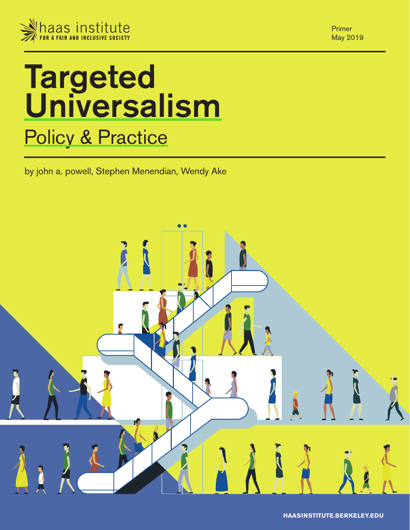

**Targeted** Universalism **Policy & Practice** 

by john a. powell, Stephen Menendian, Wendy Ake



Primer May 2019

**HAASINSTITUTE.BERKELEY.EDU**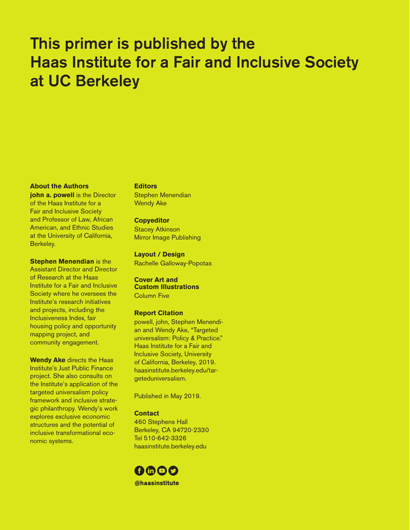### This primer is published by the Haas Institute for a Fair and Inclusive Society at UC Berkeley

#### **About the Authors**

**john a. powell** is the Director of the Haas Institute for a Fair and Inclusive Society and Professor of Law, African American, and Ethnic Studies at the University of California, Berkeley.

**Stephen Menendian** is the Assistant Director and Director of Research at the Haas Institute for a Fair and Inclusive Society where he oversees the Institute's research initiatives and projects, including the Inclusiveness Index, fair housing policy and opportunity mapping project, and community engagement.

**Wendy Ake** directs the Haas Institute's Just Public Finance project. She also consults on the Institute's application of the targeted universalism policy framework and inclusive strategic philanthropy. Wendy's work explores exclusive economic structures and the potential of inclusive transformational economic systems.

#### **Editors**

Stephen Menendian Wendy Ake

#### **Copyeditor**

Stacey Atkinson Mirror Image Publishing

**Layout / Design** Rachelle Galloway-Popotas

#### **Cover Art and Custom Illustrations**  Column Five

#### **Report Citation**

powell, john, Stephen Menendian and Wendy Ake, "Targeted universalism: Policy & Practice." Haas Institute for a Fair and Inclusive Society, University of California, Berkeley, 2019. haasinstitute.berkeley.edu/targeteduniversalism.

Published in May 2019.

#### **Contact**

460 Stephens Hall Berkeley, CA 94720-2330 Tel 510-642-3326 haasinstitute.berkeley.edu

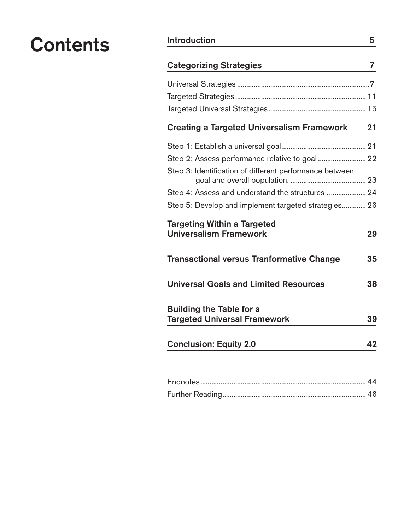## Contents Introduction 5

| <b>Categorizing Strategies</b>                                         |    |  |  |  |
|------------------------------------------------------------------------|----|--|--|--|
|                                                                        |    |  |  |  |
|                                                                        |    |  |  |  |
|                                                                        |    |  |  |  |
| <b>Creating a Targeted Universalism Framework</b>                      | 21 |  |  |  |
|                                                                        |    |  |  |  |
|                                                                        |    |  |  |  |
| Step 3: Identification of different performance between                |    |  |  |  |
| Step 4: Assess and understand the structures  24                       |    |  |  |  |
| Step 5: Develop and implement targeted strategies 26                   |    |  |  |  |
| <b>Targeting Within a Targeted</b><br><b>Universalism Framework</b>    | 29 |  |  |  |
| <b>Transactional versus Tranformative Change</b>                       | 35 |  |  |  |
| <b>Universal Goals and Limited Resources</b>                           | 38 |  |  |  |
| <b>Building the Table for a</b><br><b>Targeted Universal Framework</b> | 39 |  |  |  |
| <b>Conclusion: Equity 2.0</b>                                          | 42 |  |  |  |
|                                                                        |    |  |  |  |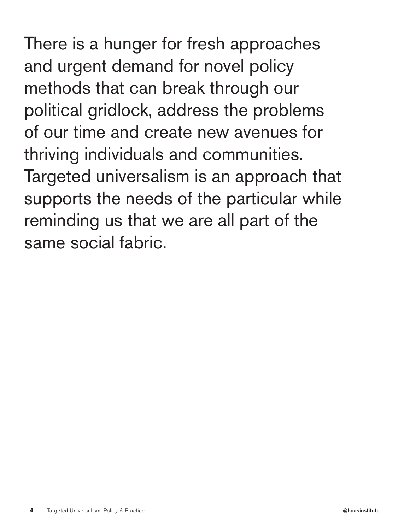There is a hunger for fresh approaches and urgent demand for novel policy methods that can break through our political gridlock, address the problems of our time and create new avenues for thriving individuals and communities. Targeted universalism is an approach that supports the needs of the particular while reminding us that we are all part of the same social fabric.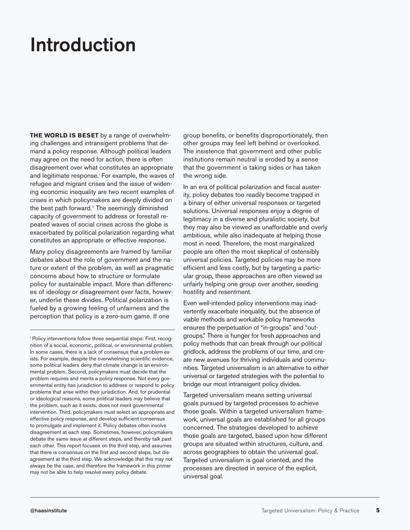## Introduction

**THE WORLD IS BESET** by a range of overwhelming challenges and intransigent problems that demand a policy response. Although political leaders may agree on the need for action, there is often disagreement over what constitutes an appropriate and legitimate response.<sup>i</sup> For example, the waves of refugee and migrant crises and the issue of widening economic inequality are two recent examples of crises in which policymakers are deeply divided on the best path forward.<sup>1</sup> The seemingly diminished capacity of government to address or forestall repeated waves of social crises across the globe is exacerbated by political polarization regarding what constitutes an appropriate or effective response.

Many policy disagreements are framed by familiar debates about the role of government and the nature or extent of the problem, as well as pragmatic concerns about how to structure or formulate policy for sustainable impact. More than differences of ideology or disagreement over facts, however, underlie these divides. Political polarization is fueled by a growing feeling of unfairness and the perception that policy is a zero-sum game. If one

group benefits, or benefits disproportionately, then other groups may feel left behind or overlooked. The insistence that government and other public institutions remain neutral is eroded by a sense that the government is taking sides or has taken the wrong side.

In an era of political polarization and fiscal austerity, policy debates too readily become trapped in a binary of either universal responses or targeted solutions. Universal responses enjoy a degree of legitimacy in a diverse and pluralistic society, but they may also be viewed as unaffordable and overly ambitious, while also inadequate at helping those most in need. Therefore, the most marginalized people are often the most skeptical of ostensibly universal policies. Targeted policies may be more efficient and less costly, but by targeting a particular group, these approaches are often viewed as unfairly helping one group over another, seeding hostility and resentment.

Even well-intended policy interventions may inadvertently exacerbate inequality, but the absence of viable methods and workable policy frameworks ensures the perpetuation of "in-groups" and "outgroups." There is hunger for fresh approaches and policy methods that can break through our political gridlock, address the problems of our time, and create new avenues for thriving individuals and communities. Targeted universalism is an alternative to either universal or targeted strategies with the potential to bridge our most intransigent policy divides.

Targeted universalism means setting universal goals pursued by targeted processes to achieve those goals. Within a targeted universalism framework, universal goals are established for all groups concerned. The strategies developed to achieve those goals are targeted, based upon how different groups are situated within structures, culture, and across geographies to obtain the universal goal. Targeted universalism is goal oriented, and the processes are directed in service of the explicit, universal goal.

i Policy interventions follow three sequential steps: First, recognition of a social, economic, political, or environmental problem. In some cases, there is a lack of consensus that a problem exists. For example, despite the overwhelming scientific evidence, some political leaders deny that climate change is an environmental problem. Second, policymakers must decide that the problem requires and merits a policy response. Not every governmental entity has jurisdiction to address or respond to policy problems that arise within their jurisdiction. And, for prudential or ideological reasons, some political leaders may believe that the problem, such as it exists, does not merit governmental intervention. Third, policymakers must select an appropriate and effective policy response, and develop sufficient consensus to promulgate and implement it. Policy debates often involve disagreement at each step. Sometimes, however, policymakers debate the same issue at different steps, and thereby talk past each other. This report focuses on the third step, and assumes that there is consensus on the first and second steps, but disagreement at the third step. We acknowledge that this may not always be the case, and therefore the framework in this primer may not be able to help resolve every policy debate.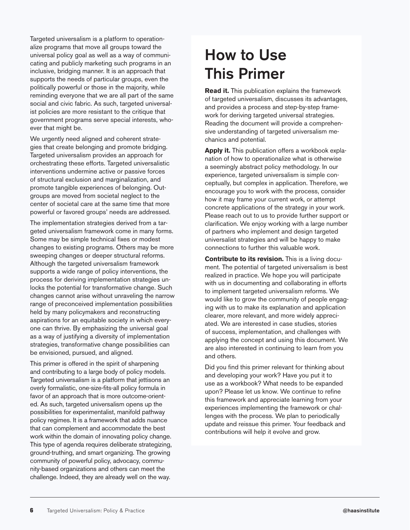Targeted universalism is a platform to operationalize programs that move all groups toward the universal policy goal as well as a way of communicating and publicly marketing such programs in an inclusive, bridging manner. It is an approach that supports the needs of particular groups, even the politically powerful or those in the majority, while reminding everyone that we are all part of the same social and civic fabric. As such, targeted universalist policies are more resistant to the critique that government programs serve special interests, whoever that might be.

We urgently need aligned and coherent strategies that create belonging and promote bridging. Targeted universalism provides an approach for orchestrating these efforts. Targeted universalistic interventions undermine active or passive forces of structural exclusion and marginalization, and promote tangible experiences of belonging. Outgroups are moved from societal neglect to the center of societal care at the same time that more powerful or favored groups' needs are addressed.

The implementation strategies derived from a targeted universalism framework come in many forms. Some may be simple technical fixes or modest changes to existing programs. Others may be more sweeping changes or deeper structural reforms. Although the targeted universalism framework supports a wide range of policy interventions, the process for deriving implementation strategies unlocks the potential for transformative change. Such changes cannot arise without unraveling the narrow range of preconceived implementation possibilities held by many policymakers and reconstructing aspirations for an equitable society in which everyone can thrive. By emphasizing the universal goal as a way of justifying a diversity of implementation strategies, transformative change possibilities can be envisioned, pursued, and aligned.

This primer is offered in the spirit of sharpening and contributing to a large body of policy models. Targeted universalism is a platform that jettisons an overly formalistic, one-size-fits-all policy formula in favor of an approach that is more outcome-oriented. As such, targeted universalism opens up the possibilities for experimentalist, manifold pathway policy regimes. It is a framework that adds nuance that can complement and accommodate the best work within the domain of innovating policy change. This type of agenda requires deliberate strategizing, ground-truthing, and smart organizing. The growing community of powerful policy, advocacy, community-based organizations and others can meet the challenge. Indeed, they are already well on the way.

### How to Use This Primer

**Read it.** This publication explains the framework of targeted universalism, discusses its advantages, and provides a process and step-by-step framework for deriving targeted universal strategies. Reading the document will provide a comprehensive understanding of targeted universalism mechanics and potential.

**Apply it.** This publication offers a workbook explanation of how to operationalize what is otherwise a seemingly abstract policy methodology. In our experience, targeted universalism is simple conceptually, but complex in application. Therefore, we encourage you to work with the process, consider how it may frame your current work, or attempt concrete applications of the strategy in your work. Please reach out to us to provide further support or clarification. We enjoy working with a large number of partners who implement and design targeted universalist strategies and will be happy to make connections to further this valuable work.

**Contribute to its revision.** This is a living document. The potential of targeted universalism is best realized in practice. We hope you will participate with us in documenting and collaborating in efforts to implement targeted universalism reforms. We would like to grow the community of people engaging with us to make its explanation and application clearer, more relevant, and more widely appreciated. We are interested in case studies, stories of success, implementation, and challenges with applying the concept and using this document. We are also interested in continuing to learn from you and others.

Did you find this primer relevant for thinking about and developing your work? Have you put it to use as a workbook? What needs to be expanded upon? Please let us know. We continue to refine this framework and appreciate learning from your experiences implementing the framework or challenges with the process. We plan to periodically update and reissue this primer. Your feedback and contributions will help it evolve and grow.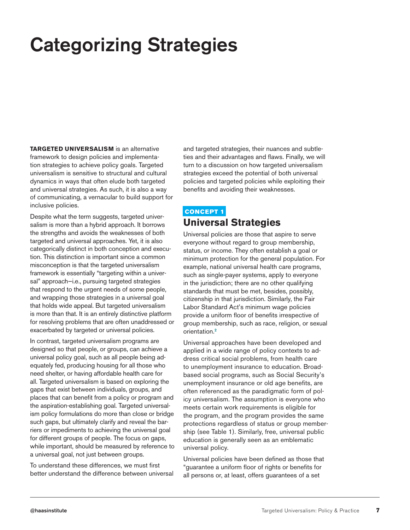# Categorizing Strategies

**TARGETED UNIVERSALISM** is an alternative framework to design policies and implementation strategies to achieve policy goals. Targeted universalism is sensitive to structural and cultural dynamics in ways that often elude both targeted and universal strategies. As such, it is also a way of communicating, a vernacular to build support for inclusive policies.

Despite what the term suggests, targeted universalism is more than a hybrid approach. It borrows the strengths and avoids the weaknesses of both targeted and universal approaches. Yet, it is also categorically distinct in both conception and execution. This distinction is important since a common misconception is that the targeted universalism framework is essentially "targeting within a universal" approach—i.e., pursuing targeted strategies that respond to the urgent needs of some people, and wrapping those strategies in a universal goal that holds wide appeal. But targeted universalism is more than that. It is an entirely distinctive platform for resolving problems that are often unaddressed or exacerbated by targeted or universal policies.

In contrast, targeted universalism programs are designed so that people, or groups, can achieve a universal policy goal, such as all people being adequately fed, producing housing for all those who need shelter, or having affordable health care for all. Targeted universalism is based on exploring the gaps that exist between individuals, groups, and places that can benefit from a policy or program and the aspiration-establishing goal. Targeted universalism policy formulations do more than close or bridge such gaps, but ultimately clarify and reveal the barriers or impediments to achieving the universal goal for different groups of people. The focus on gaps, while important, should be measured by reference to a universal goal, not just between groups.

To understand these differences, we must first better understand the difference between universal and targeted strategies, their nuances and subtleties and their advantages and flaws. Finally, we will turn to a discussion on how targeted universalism strategies exceed the potential of both universal policies and targeted policies while exploiting their benefits and avoiding their weaknesses.

#### CONCEPT 1

### **Universal Strategies**

Universal policies are those that aspire to serve everyone without regard to group membership, status, or income. They often establish a goal or minimum protection for the general population. For example, national universal health care programs, such as single-payer systems, apply to everyone in the jurisdiction; there are no other qualifying standards that must be met, besides, possibly, citizenship in that jurisdiction. Similarly, the Fair Labor Standard Act's minimum wage policies provide a uniform floor of benefits irrespective of group membership, such as race, religion, or sexual orientation.<sup>2</sup>

Universal approaches have been developed and applied in a wide range of policy contexts to address critical social problems, from health care to unemployment insurance to education. Broadbased social programs, such as Social Security's unemployment insurance or old age benefits, are often referenced as the paradigmatic form of policy universalism. The assumption is everyone who meets certain work requirements is eligible for the program, and the program provides the same protections regardless of status or group membership (see Table 1). Similarly, free, universal public education is generally seen as an emblematic universal policy.

Universal policies have been defined as those that "guarantee a uniform floor of rights or benefits for all persons or, at least, offers guarantees of a set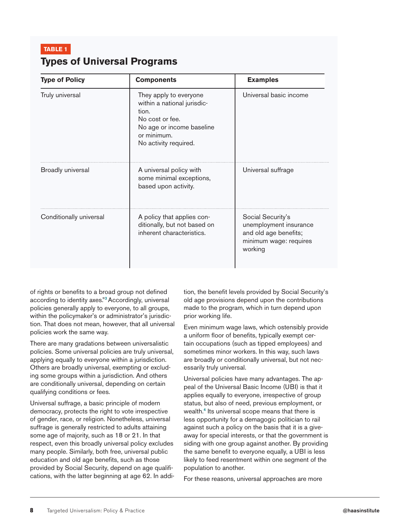| <b>Types of Universal Programs</b> |  |  |  |  |
|------------------------------------|--|--|--|--|
|------------------------------------|--|--|--|--|

| <b>Type of Policy</b>   | <b>Components</b>                                                                                                                                      | <b>Examples</b>                                                                                           |
|-------------------------|--------------------------------------------------------------------------------------------------------------------------------------------------------|-----------------------------------------------------------------------------------------------------------|
| Truly universal         | They apply to everyone<br>within a national jurisdic-<br>tion.<br>No cost or fee.<br>No age or income baseline<br>or minimum.<br>No activity required. | Universal basic income                                                                                    |
| Broadly universal       | A universal policy with<br>some minimal exceptions,<br>based upon activity.                                                                            | Universal suffrage                                                                                        |
| Conditionally universal | A policy that applies con-<br>ditionally, but not based on<br>inherent characteristics.                                                                | Social Security's<br>unemployment insurance<br>and old age benefits;<br>minimum wage: requires<br>working |

of rights or benefits to a broad group not defined according to identity axes."<sup>3</sup> Accordingly, universal policies generally apply to everyone, to all groups, within the policymaker's or administrator's jurisdiction. That does not mean, however, that all universal policies work the same way.

There are many gradations between universalistic policies. Some universal policies are truly universal, applying equally to everyone within a jurisdiction. Others are broadly universal, exempting or excluding some groups within a jurisdiction. And others are conditionally universal, depending on certain qualifying conditions or fees.

Universal suffrage, a basic principle of modern democracy, protects the right to vote irrespective of gender, race, or religion. Nonetheless, universal suffrage is generally restricted to adults attaining some age of majority, such as 18 or 21. In that respect, even this broadly universal policy excludes many people. Similarly, both free, universal public education and old age benefits, such as those provided by Social Security, depend on age qualifications, with the latter beginning at age 62. In addition, the benefit levels provided by Social Security's old age provisions depend upon the contributions made to the program, which in turn depend upon prior working life.

Even minimum wage laws, which ostensibly provide a uniform floor of benefits, typically exempt certain occupations (such as tipped employees) and sometimes minor workers. In this way, such laws are broadly or conditionally universal, but not necessarily truly universal.

Universal policies have many advantages. The appeal of the Universal Basic Income (UBI) is that it applies equally to everyone, irrespective of group status, but also of need, previous employment, or wealth.<sup>4</sup> Its universal scope means that there is less opportunity for a demagogic politician to rail against such a policy on the basis that it is a giveaway for special interests, or that the government is siding with one group against another. By providing the same benefit to everyone equally, a UBI is less likely to feed resentment within one segment of the population to another.

For these reasons, universal approaches are more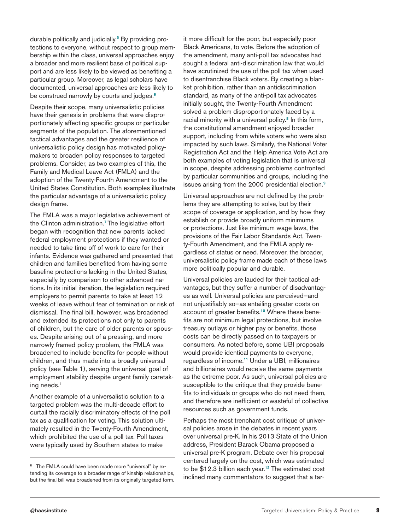durable politically and judicially.<sup>5</sup> By providing protections to everyone, without respect to group membership within the class, universal approaches enjoy a broader and more resilient base of political support and are less likely to be viewed as benefiting a particular group. Moreover, as legal scholars have documented, universal approaches are less likely to be construed narrowly by courts and judges.<sup>6</sup>

Despite their scope, many universalistic policies have their genesis in problems that were disproportionately affecting specific groups or particular segments of the population. The aforementioned tactical advantages and the greater resilience of universalistic policy design has motivated policymakers to broaden policy responses to targeted problems. Consider, as two examples of this, the Family and Medical Leave Act (FMLA) and the adoption of the Twenty-Fourth Amendment to the United States Constitution. Both examples illustrate the particular advantage of a universalistic policy design frame.

The FMLA was a major legislative achievement of the Clinton administration.<sup>7</sup> The legislative effort began with recognition that new parents lacked federal employment protections if they wanted or needed to take time off of work to care for their infants. Evidence was gathered and presented that children and families benefited from having some baseline protections lacking in the United States, especially by comparison to other advanced nations. In its initial iteration, the legislation required employers to permit parents to take at least 12 weeks of leave without fear of termination or risk of dismissal. The final bill, however, was broadened and extended its protections not only to parents of children, but the care of older parents or spouses. Despite arising out of a pressing, and more narrowly framed policy problem, the FMLA was broadened to include benefits for people without children, and thus made into a broadly universal policy (see Table 1), serving the universal goal of employment stability despite urgent family caretaking needs.<sup>ii</sup>

Another example of a universalistic solution to a targeted problem was the multi-decade effort to curtail the racially discriminatory effects of the poll tax as a qualification for voting. This solution ultimately resulted in the Twenty-Fourth Amendment, which prohibited the use of a poll tax. Poll taxes were typically used by Southern states to make

it more difficult for the poor, but especially poor Black Americans, to vote. Before the adoption of the amendment, many anti-poll tax advocates had sought a federal anti-discrimination law that would have scrutinized the use of the poll tax when used to disenfranchise Black voters. By creating a blanket prohibition, rather than an antidiscrimination standard, as many of the anti-poll tax advocates initially sought, the Twenty-Fourth Amendment solved a problem disproportionately faced by a racial minority with a universal policy.<sup>8</sup> In this form, the constitutional amendment enjoyed broader support, including from white voters who were also impacted by such laws. Similarly, the National Voter Registration Act and the Help America Vote Act are both examples of voting legislation that is universal in scope, despite addressing problems confronted by particular communities and groups, including the issues arising from the 2000 presidential election.<sup>9</sup>

Universal approaches are not defined by the problems they are attempting to solve, but by their scope of coverage or application, and by how they establish or provide broadly uniform minimums or protections. Just like minimum wage laws, the provisions of the Fair Labor Standards Act, Twenty-Fourth Amendment, and the FMLA apply regardless of status or need. Moreover, the broader, universalistic policy frame made each of these laws more politically popular and durable.

Universal policies are lauded for their tactical advantages, but they suffer a number of disadvantages as well. Universal policies are perceived—and not unjustifiably so—as entailing greater costs on account of greater benefits.10 Where these benefits are not minimum legal protections, but involve treasury outlays or higher pay or benefits, those costs can be directly passed on to taxpayers or consumers. As noted before, some UBI proposals would provide identical payments to everyone, regardless of income.<sup>11</sup> Under a UBI, millionaires and billionaires would receive the same payments as the extreme poor. As such, universal policies are susceptible to the critique that they provide benefits to individuals or groups who do not need them, and therefore are inefficient or wasteful of collective resources such as government funds.

Perhaps the most trenchant cost critique of universal policies arose in the debates in recent years over universal pre-K. In his 2013 State of the Union address, President Barack Obama proposed a universal pre-K program. Debate over his proposal centered largely on the cost, which was estimated to be  $$12.3$  billion each year.<sup>12</sup> The estimated cost inclined many commentators to suggest that a tar-

The FMLA could have been made more "universal" by extending its coverage to a broader range of kinship relationships, but the final bill was broadened from its originally targeted form.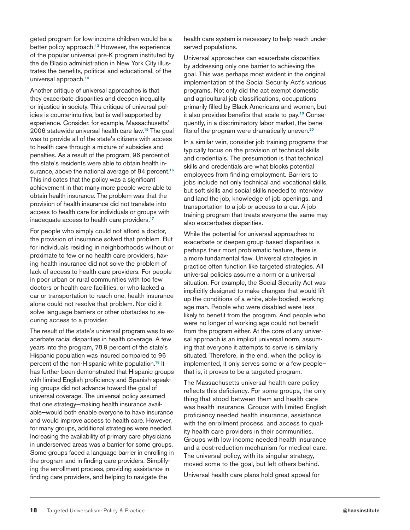geted program for low-income children would be a better policy approach.<sup>13</sup> However, the experience of the popular universal pre-K program instituted by the de Blasio administration in New York City illustrates the benefits, political and educational, of the universal approach.<sup>14</sup>

Another critique of universal approaches is that they exacerbate disparities and deepen inequality or injustice in society. This critique of universal policies is counterintuitive, but is well-supported by experience. Consider, for example, Massachusetts' 2006 statewide universal health care law.<sup>15</sup> The goal was to provide all of the state's citizens with access to health care through a mixture of subsidies and penalties. As a result of the program, 96 percent of the state's residents were able to obtain health insurance, above the national average of 84 percent.<sup>16</sup> This indicates that the policy was a significant achievement in that many more people were able to obtain health insurance. The problem was that the provision of health insurance did not translate into access to health care for individuals or groups with inadequate access to health care providers.<sup>17</sup>

For people who simply could not afford a doctor, the provision of insurance solved that problem. But for individuals residing in neighborhoods without or proximate to few or no health care providers, having health insurance did not solve the problem of lack of access to health care providers. For people in poor urban or rural communities with too few doctors or health care facilities, or who lacked a car or transportation to reach one, health insurance alone could not resolve that problem. Nor did it solve language barriers or other obstacles to securing access to a provider.

The result of the state's universal program was to exacerbate racial disparities in health coverage. A few years into the program, 78.9 percent of the state's Hispanic population was insured compared to 96 percent of the non-Hispanic white population.<sup>18</sup> It has further been demonstrated that Hispanic groups with limited English proficiency and Spanish-speaking groups did not advance toward the goal of universal coverage. The universal policy assumed that one strategy—making health insurance available—would both enable everyone to have insurance and would improve access to health care. However, for many groups, additional strategies were needed. Increasing the availability of primary care physicians in underserved areas was a barrier for some groups. Some groups faced a language barrier in enrolling in the program and in finding care providers. Simplifying the enrollment process, providing assistance in finding care providers, and helping to navigate the

health care system is necessary to help reach underserved populations.

Universal approaches can exacerbate disparities by addressing only one barrier to achieving the goal. This was perhaps most evident in the original implementation of the Social Security Act's various programs. Not only did the act exempt domestic and agricultural job classifications, occupations primarily filled by Black Americans and women, but it also provides benefits that scale to pay.19 Consequently, in a discriminatory labor market, the benefits of the program were dramatically uneven.<sup>20</sup>

In a similar vein, consider job training programs that typically focus on the provision of technical skills and credentials. The presumption is that technical skills and credentials are what blocks potential employees from finding employment. Barriers to jobs include not only technical and vocational skills, but soft skills and social skills needed to interview and land the job, knowledge of job openings, and transportation to a job or access to a car. A job training program that treats everyone the same may also exacerbates disparities.

While the potential for universal approaches to exacerbate or deepen group-based disparities is perhaps their most problematic feature, there is a more fundamental flaw. Universal strategies in practice often function like targeted strategies. All universal policies assume a norm or a universal situation. For example, the Social Security Act was implicitly designed to make changes that would lift up the conditions of a white, able-bodied, working age man. People who were disabled were less likely to benefit from the program. And people who were no longer of working age could not benefit from the program either. At the core of any universal approach is an implicit universal norm, assuming that everyone it attempts to serve is similarly situated. Therefore, in the end, when the policy is implemented, it only serves some or a few people that is, it proves to be a targeted program.

The Massachusetts universal health care policy reflects this deficiency. For some groups, the only thing that stood between them and health care was health insurance. Groups with limited English proficiency needed health insurance, assistance with the enrollment process, and access to quality health care providers in their communities. Groups with low income needed health insurance and a cost-reduction mechanism for medical care. The universal policy, with its singular strategy, moved some to the goal, but left others behind.

Universal health care plans hold great appeal for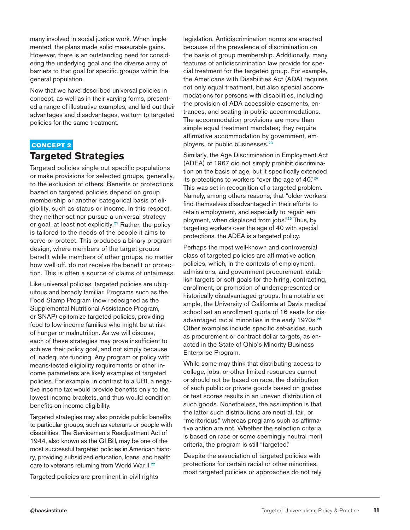many involved in social justice work. When implemented, the plans made solid measurable gains. However, there is an outstanding need for considering the underlying goal and the diverse array of barriers to that goal for specific groups within the general population.

Now that we have described universal policies in concept, as well as in their varying forms, presented a range of illustrative examples, and laid out their advantages and disadvantages, we turn to targeted policies for the same treatment.

#### CONCEPT 2

#### **Targeted Strategies**

Targeted policies single out specific populations or make provisions for selected groups, generally, to the exclusion of others. Benefits or protections based on targeted policies depend on group membership or another categorical basis of eligibility, such as status or income. In this respect, they neither set nor pursue a universal strategy or goal, at least not explicitly.<sup>21</sup> Rather, the policy is tailored to the needs of the people it aims to serve or protect. This produces a binary program design, where members of the target groups benefit while members of other groups, no matter how well-off, do not receive the benefit or protection. This is often a source of claims of unfairness.

Like universal policies, targeted policies are ubiquitous and broadly familiar. Programs such as the Food Stamp Program (now redesigned as the Supplemental Nutritional Assistance Program, or SNAP) epitomize targeted policies, providing food to low-income families who might be at risk of hunger or malnutrition. As we will discuss, each of these strategies may prove insufficient to achieve their policy goal, and not simply because of inadequate funding. Any program or policy with means-tested eligibility requirements or other income parameters are likely examples of targeted policies. For example, in contrast to a UBI, a negative income tax would provide benefits only to the lowest income brackets, and thus would condition benefits on income eligibility.

Targeted strategies may also provide public benefits to particular groups, such as veterans or people with disabilities. The Servicemen's Readjustment Act of 1944, also known as the GI Bill, may be one of the most successful targeted policies in American history, providing subsidized education, loans, and health care to veterans returning from World War II.<sup>22</sup>

Targeted policies are prominent in civil rights

legislation. Antidiscrimination norms are enacted because of the prevalence of discrimination on the basis of group membership. Additionally, many features of antidiscrimination law provide for special treatment for the targeted group. For example, the Americans with Disabilities Act (ADA) requires not only equal treatment, but also special accommodations for persons with disabilities, including the provision of ADA accessible easements, entrances, and seating in public accommodations. The accommodation provisions are more than simple equal treatment mandates; they require affirmative accommodation by government, employers, or public businesses.<sup>23</sup>

Similarly, the Age Discrimination in Employment Act (ADEA) of 1967 did not simply prohibit discrimination on the basis of age, but it specifically extended its protections to workers "over the age of 40."<sup>24</sup> This was set in recognition of a targeted problem. Namely, among others reasons, that "older workers find themselves disadvantaged in their efforts to retain employment, and especially to regain employment, when displaced from jobs."<sup>25</sup> Thus, by targeting workers over the age of 40 with special protections, the ADEA is a targeted policy.

Perhaps the most well-known and controversial class of targeted policies are affirmative action policies, which, in the contexts of employment, admissions, and government procurement, establish targets or soft goals for the hiring, contracting, enrollment, or promotion of underrepresented or historically disadvantaged groups. In a notable example, the University of California at Davis medical school set an enrollment quota of 16 seats for disadvantaged racial minorities in the early 1970s.<sup>26</sup> Other examples include specific set-asides, such as procurement or contract dollar targets, as enacted in the State of Ohio's Minority Business Enterprise Program.

While some may think that distributing access to college, jobs, or other limited resources cannot or should not be based on race, the distribution of such public or private goods based on grades or test scores results in an uneven distribution of such goods. Nonetheless, the assumption is that the latter such distributions are neutral, fair, or "meritorious," whereas programs such as affirmative action are not. Whether the selection criteria is based on race or some seemingly neutral merit criteria, the program is still "targeted."

Despite the association of targeted policies with protections for certain racial or other minorities, most targeted policies or approaches do not rely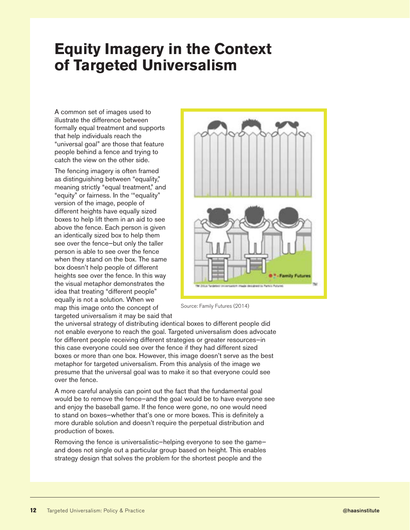### **Equity Imagery in the Context of Targeted Universalism**

A common set of images used to illustrate the difference between formally equal treatment and supports that help individuals reach the "universal goal" are those that feature people behind a fence and trying to catch the view on the other side.

The fencing imagery is often framed as distinguishing between "equality," meaning strictly "equal treatment," and "equity" or fairness. In the '"equality" version of the image, people of different heights have equally sized boxes to help lift them in an aid to see above the fence. Each person is given an identically sized box to help them see over the fence—but only the taller person is able to see over the fence when they stand on the box. The same box doesn't help people of different heights see over the fence. In this way the visual metaphor demonstrates the idea that treating "different people" equally is not a solution. When we map this image onto the concept of targeted universalism it may be said that



Source: Family Futures (2014)

the universal strategy of distributing identical boxes to different people did not enable everyone to reach the goal. Targeted universalism does advocate for different people receiving different strategies or greater resources—in this case everyone could see over the fence if they had different sized boxes or more than one box. However, this image doesn't serve as the best metaphor for targeted universalism. From this analysis of the image we presume that the universal goal was to make it so that everyone could see over the fence.

A more careful analysis can point out the fact that the fundamental goal would be to remove the fence—and the goal would be to have everyone see and enjoy the baseball game. If the fence were gone, no one would need to stand on boxes—whether that's one or more boxes. This is definitely a more durable solution and doesn't require the perpetual distribution and production of boxes.

Removing the fence is universalistic—helping everyone to see the game and does not single out a particular group based on height. This enables strategy design that solves the problem for the shortest people and the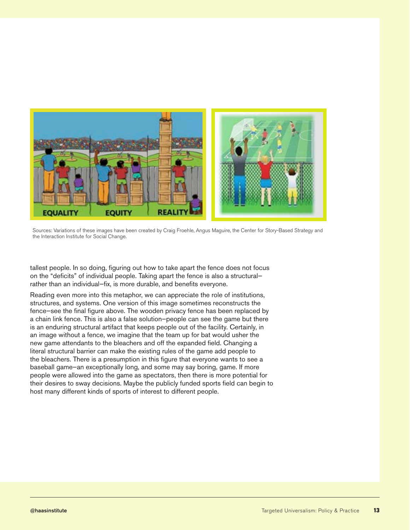

Sources: Variations of these images have been created by Craig Froehle, Angus Maguire, the Center for Story-Based Strategy and the Interaction Institute for Social Change.

tallest people. In so doing, figuring out how to take apart the fence does not focus on the "deficits" of individual people. Taking apart the fence is also a structural rather than an individual—fix, is more durable, and benefits everyone.

Reading even more into this metaphor, we can appreciate the role of institutions, structures, and systems. One version of this image sometimes reconstructs the fence—see the final figure above. The wooden privacy fence has been replaced by a chain link fence. This is also a false solution—people can see the game but there is an enduring structural artifact that keeps people out of the facility. Certainly, in an image without a fence, we imagine that the team up for bat would usher the new game attendants to the bleachers and off the expanded field. Changing a literal structural barrier can make the existing rules of the game add people to the bleachers. There is a presumption in this figure that everyone wants to see a baseball game—an exceptionally long, and some may say boring, game. If more people were allowed into the game as spectators, then there is more potential for their desires to sway decisions. Maybe the publicly funded sports field can begin to host many different kinds of sports of interest to different people.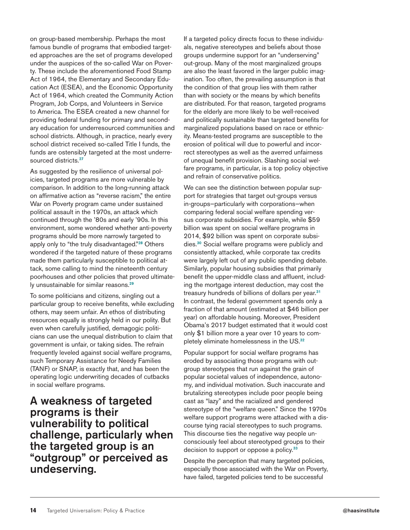on group-based membership. Perhaps the most famous bundle of programs that embodied targeted approaches are the set of programs developed under the auspices of the so-called War on Poverty. These include the aforementioned Food Stamp Act of 1964, the Elementary and Secondary Education Act (ESEA), and the Economic Opportunity Act of 1964, which created the Community Action Program, Job Corps, and Volunteers in Service to America. The ESEA created a new channel for providing federal funding for primary and secondary education for underresourced communities and school districts. Although, in practice, nearly every school district received so-called Title I funds, the funds are ostensibly targeted at the most underresourced districts.<sup>27</sup>

As suggested by the resilience of universal policies, targeted programs are more vulnerable by comparison. In addition to the long-running attack on affirmative action as "reverse racism," the entire War on Poverty program came under sustained political assault in the 1970s, an attack which continued through the '80s and early '90s. In this environment, some wondered whether anti-poverty programs should be more narrowly targeted to apply only to "the truly disadvantaged."<sup>28</sup> Others wondered if the targeted nature of these programs made them particularly susceptible to political attack, some calling to mind the nineteenth century poorhouses and other policies that proved ultimately unsustainable for similar reasons.<sup>29</sup>

To some politicians and citizens, singling out a particular group to receive benefits, while excluding others, may seem unfair. An ethos of distributing resources equally is strongly held in our polity. But even when carefully justified, demagogic politicians can use the unequal distribution to claim that government is unfair, or taking sides. The refrain frequently leveled against social welfare programs, such Temporary Assistance for Needy Families (TANF) or SNAP, is exactly that, and has been the operating logic underwriting decades of cutbacks in social welfare programs.

A weakness of targeted programs is their vulnerability to political challenge, particularly when the targeted group is an "outgroup" or perceived as undeserving.

If a targeted policy directs focus to these individuals, negative stereotypes and beliefs about those groups undermine support for an "underserving" out-group. Many of the most marginalized groups are also the least favored in the larger public imagination. Too often, the prevailing assumption is that the condition of that group lies with them rather than with society or the means by which benefits are distributed. For that reason, targeted programs for the elderly are more likely to be well-received and politically sustainable than targeted benefits for marginalized populations based on race or ethnicity. Means-tested programs are susceptible to the erosion of political will due to powerful and incorrect stereotypes as well as the averred unfairness of unequal benefit provision. Slashing social welfare programs, in particular, is a top policy objective and refrain of conservative politics.

We can see the distinction between popular support for strategies that target out-groups versus in-groups—particularly with corporations—when comparing federal social welfare spending versus corporate subsidies. For example, while \$59 billion was spent on social welfare programs in 2014, \$92 billion was spent on corporate subsidies.<sup>30</sup> Social welfare programs were publicly and consistently attacked, while corporate tax credits were largely left out of any public spending debate. Similarly, popular housing subsidies that primarily benefit the upper-middle class and affluent, including the mortgage interest deduction, may cost the treasury hundreds of billions of dollars per year.<sup>31</sup> In contrast, the federal government spends only a fraction of that amount (estimated at \$46 billion per year) on affordable housing. Moreover, President Obama's 2017 budget estimated that it would cost only \$1 billion more a year over 10 years to completely eliminate homelessness in the US.<sup>32</sup>

Popular support for social welfare programs has eroded by associating those programs with outgroup stereotypes that run against the grain of popular societal values of independence, autonomy, and individual motivation. Such inaccurate and brutalizing stereotypes include poor people being cast as "lazy" and the racialized and gendered stereotype of the "welfare queen." Since the 1970s welfare support programs were attacked with a discourse tying racial stereotypes to such programs. This discourse ties the negative way people unconsciously feel about stereotyped groups to their decision to support or oppose a policy.<sup>33</sup>

Despite the perception that many targeted policies, especially those associated with the War on Poverty, have failed, targeted policies tend to be successful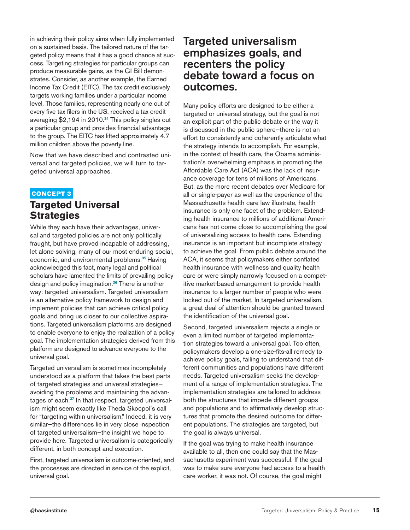in achieving their policy aims when fully implemented on a sustained basis. The tailored nature of the targeted policy means that it has a good chance at success. Targeting strategies for particular groups can produce measurable gains, as the GI Bill demonstrates. Consider, as another example, the Earned Income Tax Credit (EITC). The tax credit exclusively targets working families under a particular income level. Those families, representing nearly one out of every five tax filers in the US, received a tax credit averaging \$2,194 in 2010.<sup>34</sup> This policy singles out a particular group and provides financial advantage to the group. The EITC has lifted approximately 4.7 million children above the poverty line.

Now that we have described and contrasted universal and targeted policies, we will turn to targeted universal approaches.

#### CONCEPT 3

#### **Targeted Universal Strategies**

While they each have their advantages, universal and targeted policies are not only politically fraught, but have proved incapable of addressing, let alone solving, many of our most enduring social, economic, and environmental problems.<sup>35</sup> Having acknowledged this fact, many legal and political scholars have lamented the limits of prevailing policy design and policy imagination.<sup>36</sup> There is another way: targeted universalism. Targeted universalism is an alternative policy framework to design and implement policies that can achieve critical policy goals and bring us closer to our collective aspirations. Targeted universalism platforms are designed to enable everyone to enjoy the realization of a policy goal. The implementation strategies derived from this platform are designed to advance everyone to the universal goal.

Targeted universalism is sometimes incompletely understood as a platform that takes the best parts of targeted strategies and universal strategies avoiding the problems and maintaining the advantages of each.<sup>37</sup> In that respect, targeted universalism might seem exactly like Theda Skocpol's call for "targeting within universalism." Indeed, it is very similar—the differences lie in very close inspection of targeted universalism—the insight we hope to provide here. Targeted universalism is categorically different, in both concept and execution.

First, targeted universalism is outcome-oriented, and the processes are directed in service of the explicit, universal goal.

#### Targeted universalism emphasizes goals, and recenters the policy debate toward a focus on outcomes.

Many policy efforts are designed to be either a targeted or universal strategy, but the goal is not an explicit part of the public debate or the way it is discussed in the public sphere—there is not an effort to consistently and coherently articulate what the strategy intends to accomplish. For example, in the context of health care, the Obama administration's overwhelming emphasis in promoting the Affordable Care Act (ACA) was the lack of insurance coverage for tens of millions of Americans. But, as the more recent debates over Medicare for all or single-payer as well as the experience of the Massachusetts health care law illustrate, health insurance is only one facet of the problem. Extending health insurance to millions of additional Americans has not come close to accomplishing the goal of universalizing access to health care. Extending insurance is an important but incomplete strategy to achieve the goal. From public debate around the ACA, it seems that policymakers either conflated health insurance with wellness and quality health care or were simply narrowly focused on a competitive market-based arrangement to provide health insurance to a larger number of people who were locked out of the market. In targeted universalism, a great deal of attention should be granted toward the identification of the universal goal.

Second, targeted universalism rejects a single or even a limited number of targeted implementation strategies toward a universal goal. Too often, policymakers develop a one-size-fits-all remedy to achieve policy goals, failing to understand that different communities and populations have different needs. Targeted universalism seeks the development of a range of implementation strategies. The implementation strategies are tailored to address both the structures that impede different groups and populations and to affirmatively develop structures that promote the desired outcome for different populations. The strategies are targeted, but the goal is always universal.

If the goal was trying to make health insurance available to all, then one could say that the Massachusetts experiment was successful. If the goal was to make sure everyone had access to a health care worker, it was not. Of course, the goal might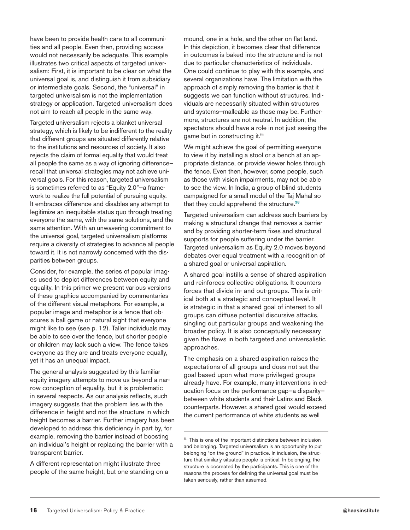have been to provide health care to all communities and all people. Even then, providing access would not necessarily be adequate. This example illustrates two critical aspects of targeted universalism: First, it is important to be clear on what the universal goal is, and distinguish it from subsidiary or intermediate goals. Second, the "universal" in targeted universalism is not the implementation strategy or application. Targeted universalism does not aim to reach all people in the same way.

Targeted universalism rejects a blanket universal strategy, which is likely to be indifferent to the reality that different groups are situated differently relative to the institutions and resources of society. It also rejects the claim of formal equality that would treat all people the same as a way of ignoring difference recall that universal strategies may not achieve universal goals. For this reason, targeted universalism is sometimes referred to as "Equity 2.0"—a framework to realize the full potential of pursuing equity. It embraces difference and disables any attempt to legitimize an inequitable status quo through treating everyone the same, with the same solutions, and the same attention. With an unwavering commitment to the universal goal, targeted universalism platforms require a diversity of strategies to advance all people toward it. It is not narrowly concerned with the disparities between groups.

Consider, for example, the series of popular images used to depict differences between equity and equality. In this primer we present various versions of these graphics accompanied by commentaries of the different visual metaphors. For example, a popular image and metaphor is a fence that obscures a ball game or natural sight that everyone might like to see (see p. 12). Taller individuals may be able to see over the fence, but shorter people or children may lack such a view. The fence takes everyone as they are and treats everyone equally, yet it has an unequal impact.

The general analysis suggested by this familiar equity imagery attempts to move us beyond a narrow conception of equality, but it is problematic in several respects. As our analysis reflects, such imagery suggests that the problem lies with the difference in height and not the structure in which height becomes a barrier. Further imagery has been developed to address this deficiency in part by, for example, removing the barrier instead of boosting an individual's height or replacing the barrier with a transparent barrier.

A different representation might illustrate three people of the same height, but one standing on a

mound, one in a hole, and the other on flat land. In this depiction, it becomes clear that difference in outcomes is baked into the structure and is not due to particular characteristics of individuals. One could continue to play with this example, and several organizations have. The limitation with the approach of simply removing the barrier is that it suggests we can function without structures. Individuals are necessarily situated within structures and systems—malleable as those may be. Furthermore, structures are not neutral. In addition, the spectators should have a role in not just seeing the game but in constructing it.**iii**

We might achieve the goal of permitting everyone to view it by installing a stool or a bench at an appropriate distance, or provide viewer holes through the fence. Even then, however, some people, such as those with vision impairments, may not be able to see the view. In India, a group of blind students campaigned for a small model of the Taj Mahal so that they could apprehend the structure.<sup>38</sup>

Targeted universalism can address such barriers by making a structural change that removes a barrier and by providing shorter-term fixes and structural supports for people suffering under the barrier. Targeted universalism as Equity 2.0 moves beyond debates over equal treatment with a recognition of a shared goal or universal aspiration.

A shared goal instills a sense of shared aspiration and reinforces collective obligations. It counters forces that divide in- and out-groups. This is critical both at a strategic and conceptual level. It is strategic in that a shared goal of interest to all groups can diffuse potential discursive attacks, singling out particular groups and weakening the broader policy. It is also conceptually necessary given the flaws in both targeted and universalistic approaches.

The emphasis on a shared aspiration raises the expectations of all groups and does not set the goal based upon what more privileged groups already have. For example, many interventions in education focus on the performance gap—a disparity between white students and their Latinx and Black counterparts. However, a shared goal would exceed the current performance of white students as well

**iii** This is one of the important distinctions between inclusion and belonging. Targeted universalism is an opportunity to put belonging "on the ground" in practice. In inclusion, the structure that similarly situates people is critical. In belonging, the structure is cocreated by the participants. This is one of the reasons the process for defining the universal goal must be taken seriously, rather than assumed.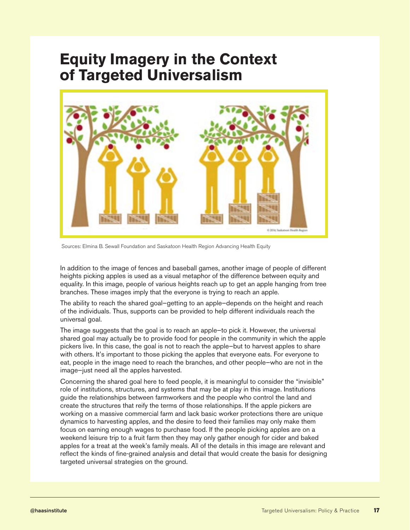### **Equity Imagery in the Context of Targeted Universalism**



Sources: Elmina B. Sewall Foundation and Saskatoon Health Region Advancing Health Equity

In addition to the image of fences and baseball games, another image of people of different heights picking apples is used as a visual metaphor of the difference between equity and equality. In this image, people of various heights reach up to get an apple hanging from tree branches. These images imply that the everyone is trying to reach an apple.

The ability to reach the shared goal—getting to an apple—depends on the height and reach of the individuals. Thus, supports can be provided to help different individuals reach the universal goal.

The image suggests that the goal is to reach an apple—to pick it. However, the universal shared goal may actually be to provide food for people in the community in which the apple pickers live. In this case, the goal is not to reach the apple—but to harvest apples to share with others. It's important to those picking the apples that everyone eats. For everyone to eat, people in the image need to reach the branches, and other people—who are not in the image—just need all the apples harvested.

Concerning the shared goal here to feed people, it is meaningful to consider the "invisible" role of institutions, structures, and systems that may be at play in this image. Institutions guide the relationships between farmworkers and the people who control the land and create the structures that reify the terms of those relationships. If the apple pickers are working on a massive commercial farm and lack basic worker protections there are unique dynamics to harvesting apples, and the desire to feed their families may only make them focus on earning enough wages to purchase food. If the people picking apples are on a weekend leisure trip to a fruit farm then they may only gather enough for cider and baked apples for a treat at the week's family meals. All of the details in this image are relevant and reflect the kinds of fine-grained analysis and detail that would create the basis for designing targeted universal strategies on the ground.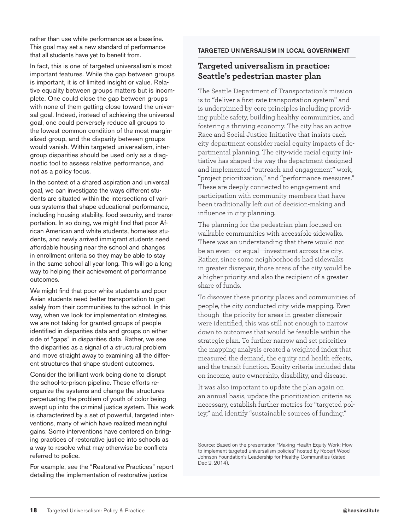rather than use white performance as a baseline. This goal may set a new standard of performance that all students have yet to benefit from.

In fact, this is one of targeted universalism's most important features. While the gap between groups is important, it is of limited insight or value. Relative equality between groups matters but is incomplete. One could close the gap between groups with none of them getting close toward the universal goal. Indeed, instead of achieving the universal goal, one could perversely reduce all groups to the lowest common condition of the most marginalized group, and the disparity between groups would vanish. Within targeted universalism, intergroup disparities should be used only as a diagnostic tool to assess relative performance, and not as a policy focus.

In the context of a shared aspiration and universal goal, we can investigate the ways different students are situated within the intersections of various systems that shape educational performance, including housing stability, food security, and transportation. In so doing, we might find that poor African American and white students, homeless students, and newly arrived immigrant students need affordable housing near the school and changes in enrollment criteria so they may be able to stay in the same school all year long. This will go a long way to helping their achievement of performance outcomes.

We might find that poor white students and poor Asian students need better transportation to get safely from their communities to the school. In this way, when we look for implementation strategies, we are not taking for granted groups of people identified in disparities data and groups on either side of "gaps" in disparities data. Rather, we see the disparities as a signal of a structural problem and move straight away to examining all the different structures that shape student outcomes.

Consider the brilliant work being done to disrupt the school-to-prison pipeline. These efforts reorganize the systems and change the structures perpetuating the problem of youth of color being swept up into the criminal justice system. This work is characterized by a set of powerful, targeted interventions, many of which have realized meaningful gains. Some interventions have centered on bringing practices of restorative justice into schools as a way to resolve what may otherwise be conflicts referred to police.

For example, see the "Restorative Practices" report detailing the implementation of restorative justice

#### TARGETED UNIVERSALISM IN LOCAL GOVERNMENT

#### **Targeted universalism in practice: Seattle's pedestrian master plan**

The Seattle Department of Transportation's mission is to "deliver a first-rate transportation system" and is underpinned by core principles including providing public safety, building healthy communities, and fostering a thriving economy. The city has an active Race and Social Justice Initiative that insists each city department consider racial equity impacts of departmental planning. The city-wide racial equity initiative has shaped the way the department designed and implemented "outreach and engagement" work, "project prioritization," and "performance measures." These are deeply connected to engagement and participation with community members that have been traditionally left out of decision-making and influence in city planning.

The planning for the pedestrian plan focused on walkable communities with accessible sidewalks. There was an understanding that there would not be an even—or equal—investment across the city. Rather, since some neighborhoods had sidewalks in greater disrepair, those areas of the city would be a higher priority and also the recipient of a greater share of funds.

To discover these priority places and communities of people, the city conducted city-wide mapping. Even though the priority for areas in greater disrepair were identified, this was still not enough to narrow down to outcomes that would be feasible within the strategic plan. To further narrow and set priorities the mapping analysis created a weighted index that measured the demand, the equity and health effects, and the transit function. Equity criteria included data on income, auto ownership, disability, and disease.

It was also important to update the plan again on an annual basis, update the prioritization criteria as necessary, establish further metrics for "targeted policy," and identify "sustainable sources of funding."

Source: Based on the presentation "Making Health Equity Work: How to implement targeted universalism policies" hosted by Robert Wood Johnson Foundation's Leadership for Healthy Communities (dated Dec 2, 2014).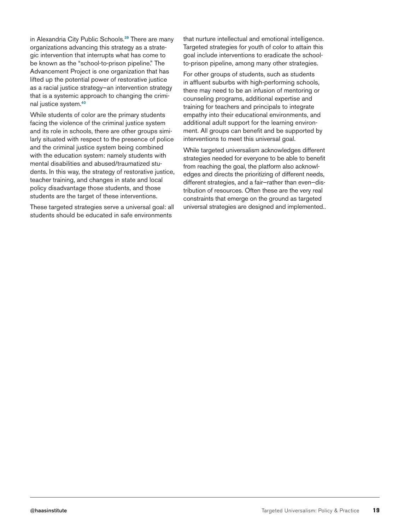in Alexandria City Public Schools.<sup>39</sup> There are many organizations advancing this strategy as a strategic intervention that interrupts what has come to be known as the "school-to-prison pipeline." The Advancement Project is one organization that has lifted up the potential power of restorative justice as a racial justice strategy—an intervention strategy that is a systemic approach to changing the criminal justice system.<sup>40</sup>

While students of color are the primary students facing the violence of the criminal justice system and its role in schools, there are other groups similarly situated with respect to the presence of police and the criminal justice system being combined with the education system: namely students with mental disabilities and abused/traumatized students. In this way, the strategy of restorative justice, teacher training, and changes in state and local policy disadvantage those students, and those students are the target of these interventions.

These targeted strategies serve a universal goal: all students should be educated in safe environments

that nurture intellectual and emotional intelligence. Targeted strategies for youth of color to attain this goal include interventions to eradicate the schoolto-prison pipeline, among many other strategies.

For other groups of students, such as students in affluent suburbs with high-performing schools, there may need to be an infusion of mentoring or counseling programs, additional expertise and training for teachers and principals to integrate empathy into their educational environments, and additional adult support for the learning environment. All groups can benefit and be supported by interventions to meet this universal goal.

While targeted universalism acknowledges different strategies needed for everyone to be able to benefit from reaching the goal, the platform also acknowledges and directs the prioritizing of different needs, different strategies, and a fair—rather than even—distribution of resources. Often these are the very real constraints that emerge on the ground as targeted universal strategies are designed and implemented..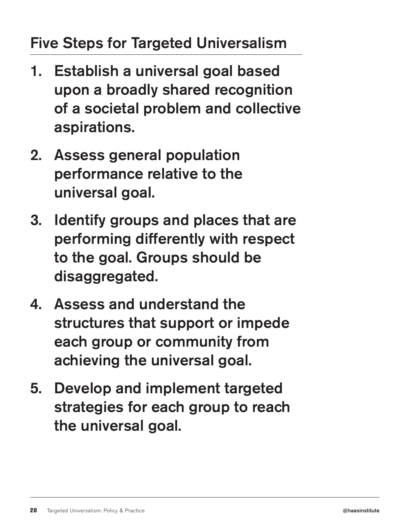### Five Steps for Targeted Universalism

- 1. Establish a universal goal based upon a broadly shared recognition of a societal problem and collective aspirations.
- 2. Assess general population performance relative to the universal goal.
- 3. Identify groups and places that are performing differently with respect to the goal. Groups should be disaggregated.
- 4. Assess and understand the structures that support or impede each group or community from achieving the universal goal.
- 5. Develop and implement targeted strategies for each group to reach the universal goal.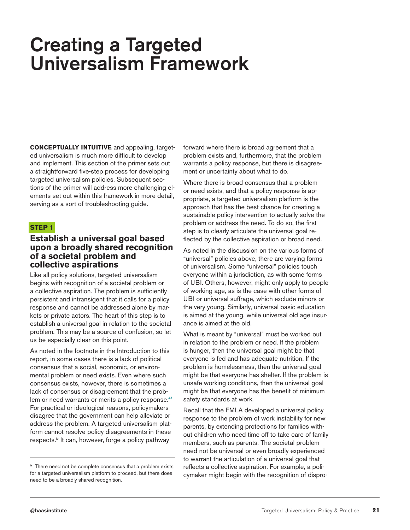### Creating a Targeted Universalism Framework

**CONCEPTUALLY INTUITIVE** and appealing, targeted universalism is much more difficult to develop and implement. This section of the primer sets out a straightforward five-step process for developing targeted universalism policies. Subsequent sections of the primer will address more challenging elements set out within this framework in more detail, serving as a sort of troubleshooting guide.

#### **STEP 1**

#### **Establish a universal goal based upon a broadly shared recognition of a societal problem and collective aspirations**

Like all policy solutions, targeted universalism begins with recognition of a societal problem or a collective aspiration. The problem is sufficiently persistent and intransigent that it calls for a policy response and cannot be addressed alone by markets or private actors. The heart of this step is to establish a universal goal in relation to the societal problem. This may be a source of confusion, so let us be especially clear on this point.

As noted in the footnote in the Introduction to this report, in some cases there is a lack of political consensus that a social, economic, or environmental problem or need exists. Even where such consensus exists, however, there is sometimes a lack of consensus or disagreement that the problem or need warrants or merits a policy response.<sup>41</sup> For practical or ideological reasons, policymakers disagree that the government can help alleviate or address the problem. A targeted universalism platform cannot resolve policy disagreements in these respects.<sup>iv</sup> It can, however, forge a policy pathway

forward where there is broad agreement that a problem exists and, furthermore, that the problem warrants a policy response, but there is disagreement or uncertainty about what to do.

Where there is broad consensus that a problem or need exists, and that a policy response is appropriate, a targeted universalism platform is the approach that has the best chance for creating a sustainable policy intervention to actually solve the problem or address the need. To do so, the first step is to clearly articulate the universal goal reflected by the collective aspiration or broad need.

As noted in the discussion on the various forms of "universal" policies above, there are varying forms of universalism. Some "universal" policies touch everyone within a jurisdiction, as with some forms of UBI. Others, however, might only apply to people of working age, as is the case with other forms of UBI or universal suffrage, which exclude minors or the very young. Similarly, universal basic education is aimed at the young, while universal old age insurance is aimed at the old.

What is meant by "universal" must be worked out in relation to the problem or need. If the problem is hunger, then the universal goal might be that everyone is fed and has adequate nutrition. If the problem is homelessness, then the universal goal might be that everyone has shelter. If the problem is unsafe working conditions, then the universal goal might be that everyone has the benefit of minimum safety standards at work.

Recall that the FMLA developed a universal policy response to the problem of work instability for new parents, by extending protections for families without children who need time off to take care of family members, such as parents. The societal problem need not be universal or even broadly experienced to warrant the articulation of a universal goal that reflects a collective aspiration. For example, a policymaker might begin with the recognition of dispro-

iv There need not be complete consensus that a problem exists for a targeted universalism platform to proceed, but there does need to be a broadly shared recognition.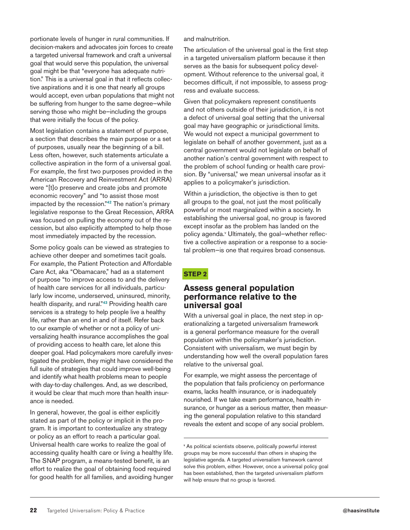portionate levels of hunger in rural communities. If decision-makers and advocates join forces to create a targeted universal framework and craft a universal goal that would serve this population, the universal goal might be that "everyone has adequate nutrition." This is a universal goal in that it reflects collective aspirations and it is one that nearly all groups would accept, even urban populations that might not be suffering from hunger to the same degree—while serving those who might be—including the groups that were initially the focus of the policy.

Most legislation contains a statement of purpose, a section that describes the main purpose or a set of purposes, usually near the beginning of a bill. Less often, however, such statements articulate a collective aspiration in the form of a universal goal. For example, the first two purposes provided in the American Recovery and Reinvestment Act (ARRA) were "[t]o preserve and create jobs and promote economic recovery" and "to assist those most impacted by the recession."<sup>42</sup> The nation's primary legislative response to the Great Recession, ARRA was focused on pulling the economy out of the recession, but also explicitly attempted to help those most immediately impacted by the recession.

Some policy goals can be viewed as strategies to achieve other deeper and sometimes tacit goals. For example, the Patient Protection and Affordable Care Act, aka "Obamacare," had as a statement of purpose "to improve access to and the delivery of health care services for all individuals, particularly low income, underserved, uninsured, minority, health disparity, and rural."<sup>43</sup> Providing health care services is a strategy to help people live a healthy life, rather than an end in and of itself. Refer back to our example of whether or not a policy of universalizing health insurance accomplishes the goal of providing access to health care, let alone this deeper goal. Had policymakers more carefully investigated the problem, they might have considered the full suite of strategies that could improve well-being and identify what health problems mean to people with day-to-day challenges. And, as we described, it would be clear that much more than health insurance is needed.

In general, however, the goal is either explicitly stated as part of the policy or implicit in the program. It is important to contextualize any strategy or policy as an effort to reach a particular goal. Universal health care works to realize the goal of accessing quality health care or living a healthy life. The SNAP program, a means-tested benefit, is an effort to realize the goal of obtaining food required for good health for all families, and avoiding hunger and malnutrition.

The articulation of the universal goal is the first step in a targeted universalism platform because it then serves as the basis for subsequent policy development. Without reference to the universal goal, it becomes difficult, if not impossible, to assess progress and evaluate success.

Given that policymakers represent constituents and not others outside of their jurisdiction, it is not a defect of universal goal setting that the universal goal may have geographic or jurisdictional limits. We would not expect a municipal government to legislate on behalf of another government, just as a central government would not legislate on behalf of another nation's central government with respect to the problem of school funding or health care provision. By "universal," we mean universal insofar as it applies to a policymaker's jurisdiction.

Within a jurisdiction, the objective is then to get all groups to the goal, not just the most politically powerful or most marginalized within a society. In establishing the universal goal, no group is favored except insofar as the problem has landed on the policy agenda.<sup>v</sup> Ultimately, the goal-whether reflective a collective aspiration or a response to a societal problem—is one that requires broad consensus.

#### **STEP 2**

#### **Assess general population performance relative to the universal goal**

With a universal goal in place, the next step in operationalizing a targeted universalism framework is a general performance measure for the overall population within the policymaker's jurisdiction. Consistent with universalism, we must begin by understanding how well the overall population fares relative to the universal goal.

For example, we might assess the percentage of the population that fails proficiency on performance exams, lacks health insurance, or is inadequately nourished. If we take exam performance, health insurance, or hunger as a serious matter, then measuring the general population relative to this standard reveals the extent and scope of any social problem.

v As political scientists observe, politically powerful interest groups may be more successful than others in shaping the legislative agenda. A targeted universalism framework cannot solve this problem, either. However, once a universal policy goal has been established, then the targeted universalism platform will help ensure that no group is favored.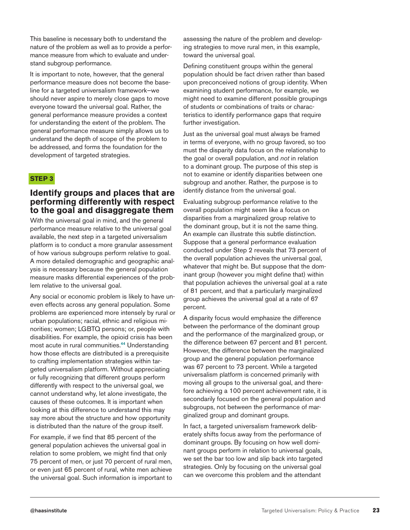This baseline is necessary both to understand the nature of the problem as well as to provide a performance measure from which to evaluate and understand subgroup performance.

It is important to note, however, that the general performance measure does not become the baseline for a targeted universalism framework—we should never aspire to merely close gaps to move everyone toward the universal goal. Rather, the general performance measure provides a context for understanding the extent of the problem. The general performance measure simply allows us to understand the depth of scope of the problem to be addressed, and forms the foundation for the development of targeted strategies.

#### **STEP 3**

#### **Identify groups and places that are performing differently with respect to the goal and disaggregate them**

With the universal goal in mind, and the general performance measure relative to the universal goal available, the next step in a targeted universalism platform is to conduct a more granular assessment of how various subgroups perform relative to goal. A more detailed demographic and geographic analysis is necessary because the general population measure masks differential experiences of the problem relative to the universal goal.

Any social or economic problem is likely to have uneven effects across any general population. Some problems are experienced more intensely by rural or urban populations; racial, ethnic and religious minorities; women; LGBTQ persons; or, people with disabilities. For example, the opioid crisis has been most acute in rural communities.<sup>44</sup> Understanding how those effects are distributed is a prerequisite to crafting implementation strategies within targeted universalism platform. Without appreciating or fully recognizing that different groups perform differently with respect to the universal goal, we cannot understand why, let alone investigate, the causes of these outcomes. It is important when looking at this difference to understand this may say more about the structure and how opportunity is distributed than the nature of the group itself.

For example, if we find that 85 percent of the general population achieves the universal goal in relation to some problem, we might find that only 75 percent of men, or just 70 percent of rural men, or even just 65 percent of rural, white men achieve the universal goal. Such information is important to assessing the nature of the problem and developing strategies to move rural men, in this example, toward the universal goal.

Defining constituent groups within the general population should be fact driven rather than based upon preconceived notions of group identity. When examining student performance, for example, we might need to examine different possible groupings of students or combinations of traits or characteristics to identify performance gaps that require further investigation.

Just as the universal goal must always be framed in terms of everyone, with no group favored, so too must the disparity data focus on the relationship to the goal or overall population, and *not* in relation to a dominant group. The purpose of this step is not to examine or identify disparities between one subgroup and another. Rather, the purpose is to identify distance from the universal goal.

Evaluating subgroup performance relative to the overall population might seem like a focus on disparities from a marginalized group relative to the dominant group, but it is not the same thing. An example can illustrate this subtle distinction. Suppose that a general performance evaluation conducted under Step 2 reveals that 73 percent of the overall population achieves the universal goal, whatever that might be. But suppose that the dominant group (however you might define that) within that population achieves the universal goal at a rate of 81 percent, and that a particularly marginalized group achieves the universal goal at a rate of 67 percent.

A disparity focus would emphasize the difference between the performance of the dominant group and the performance of the marginalized group, or the difference between 67 percent and 81 percent. However, the difference between the marginalized group and the general population performance was 67 percent to 73 percent. While a targeted universalism platform is concerned primarily with moving all groups to the universal goal, and therefore achieving a 100 percent achievement rate, it is secondarily focused on the general population and subgroups, not between the performance of marginalized group and dominant groups.

In fact, a targeted universalism framework deliberately shifts focus away from the performance of dominant groups. By focusing on how well dominant groups perform in relation to universal goals, we set the bar too low and slip back into targeted strategies. Only by focusing on the universal goal can we overcome this problem and the attendant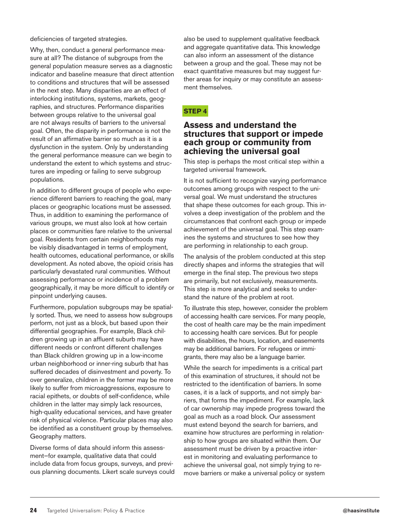deficiencies of targeted strategies.

Why, then, conduct a general performance measure at all? The distance of subgroups from the general population measure serves as a diagnostic indicator and baseline measure that direct attention to conditions and structures that will be assessed in the next step. Many disparities are an effect of interlocking institutions, systems, markets, geographies, and structures. Performance disparities between groups relative to the universal goal are not always results of barriers to the universal goal. Often, the disparity in performance is not the result of an affirmative barrier so much as it is a dysfunction in the system. Only by understanding the general performance measure can we begin to understand the extent to which systems and structures are impeding or failing to serve subgroup populations.

In addition to different groups of people who experience different barriers to reaching the goal, many places or geographic locations must be assessed. Thus, in addition to examining the performance of various groups, we must also look at how certain places or communities fare relative to the universal goal. Residents from certain neighborhoods may be visibly disadvantaged in terms of employment, health outcomes, educational performance, or skills development. As noted above, the opioid crisis has particularly devastated rural communities. Without assessing performance or incidence of a problem geographically, it may be more difficult to identify or pinpoint underlying causes.

Furthermore, population subgroups may be spatially sorted. Thus, we need to assess how subgroups perform, not just as a block, but based upon their differential geographies. For example, Black children growing up in an affluent suburb may have different needs or confront different challenges than Black children growing up in a low-income urban neighborhood or inner-ring suburb that has suffered decades of disinvestment and poverty. To over generalize, children in the former may be more likely to suffer from microaggressions, exposure to racial epithets, or doubts of self-confidence, while children in the latter may simply lack resources, high-quality educational services, and have greater risk of physical violence. Particular places may also be identified as a constituent group by themselves. Geography matters.

Diverse forms of data should inform this assessment—for example, qualitative data that could include data from focus groups, surveys, and previous planning documents. Likert scale surveys could

also be used to supplement qualitative feedback and aggregate quantitative data. This knowledge can also inform an assessment of the distance between a group and the goal. These may not be exact quantitative measures but may suggest further areas for inquiry or may constitute an assessment themselves.

#### **STEP 4**

#### **Assess and understand the structures that support or impede each group or community from achieving the universal goal**

This step is perhaps the most critical step within a targeted universal framework.

It is not sufficient to recognize varying performance outcomes among groups with respect to the universal goal. We must understand the structures that shape these outcomes for each group. This involves a deep investigation of the problem and the circumstances that confront each group or impede achievement of the universal goal. This step examines the systems and structures to see how they are performing in relationship to each group.

The analysis of the problem conducted at this step directly shapes and informs the strategies that will emerge in the final step. The previous two steps are primarily, but not exclusively, measurements. This step is more analytical and seeks to understand the nature of the problem at root.

To illustrate this step, however, consider the problem of accessing health care services. For many people, the cost of health care may be the main impediment to accessing health care services. But for people with disabilities, the hours, location, and easements may be additional barriers. For refugees or immigrants, there may also be a language barrier.

While the search for impediments is a critical part of this examination of structures, it should not be restricted to the identification of barriers. In some cases, it is a lack of supports, and not simply barriers, that forms the impediment. For example, lack of car ownership may impede progress toward the goal as much as a road block. Our assessment must extend beyond the search for barriers, and examine how structures are performing in relationship to how groups are situated within them. Our assessment must be driven by a proactive interest in monitoring and evaluating performance to achieve the universal goal, not simply trying to remove barriers or make a universal policy or system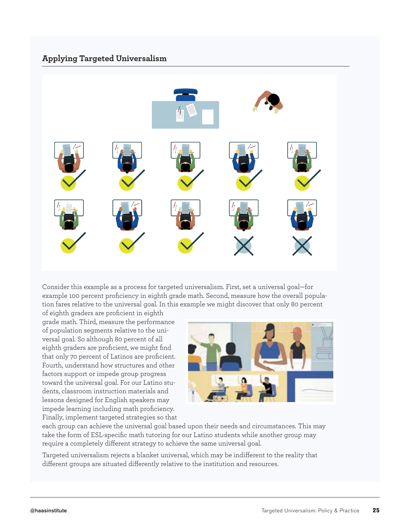#### **Applying Targeted Universalism**



Consider this example as a process for targeted universalism. First, set a universal goal—for example 100 percent proficiency in eighth grade math. Second, measure how the overall population fares relative to the universal goal. In this example we might discover that only 80 percent

of eighth graders are proficient in eighth grade math. Third, measure the performance of population segments relative to the universal goal. So although 80 percent of all eighth graders are proficient, we might find that only 70 percent of Latinos are proficient. Fourth, understand how structures and other factors support or impede group progress toward the universal goal. For our Latino students, classroom instruction materials and lessons designed for English speakers may impede learning including math proficiency. Finally, implement targeted strategies so that



each group can achieve the universal goal based upon their needs and circumstances. This may take the form of ESL-specific math tutoring for our Latino students while another group may require a completely different strategy to achieve the same universal goal.

Targeted universalism rejects a blanket universal, which may be indifferent to the reality that different groups are situated differently relative to the institution and resources.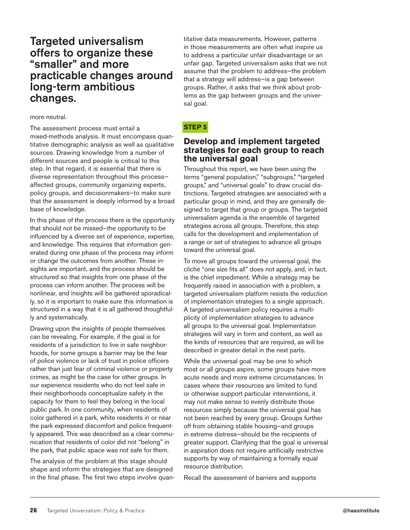#### Targeted universalism offers to organize these "smaller" and more practicable changes around long-term ambitious changes.

#### more neutral.

The assessment process must entail a mixed-methods analysis. It must encompass quantitative demographic analysis as well as qualitative sources. Drawing knowledge from a number of different sources and people is critical to this step. In that regard, it is essential that there is diverse representation throughout this process affected groups, community organizing experts, policy groups, and decisionmakers—to make sure that the assessment is deeply informed by a broad base of knowledge.

In this phase of the process there is the opportunity that should not be missed—the opportunity to be influenced by a diverse set of experience, expertise, and knowledge. This requires that information generated during one phase of the process may inform or change the outcomes from another. These insights are important, and the process should be structured so that insights from one phase of the process can inform another. The process will be nonlinear, and insights will be gathered sporadically, so it is important to make sure this information is structured in a way that it is all gathered thoughtfully and systematically.

Drawing upon the insights of people themselves can be revealing. For example, if the goal is for residents of a jurisdiction to live in safe neighborhoods, for some groups a barrier may be the fear of police violence or lack of trust in police officers rather than just fear of criminal violence or property crimes, as might be the case for other groups. In our experience residents who do not feel safe in their neighborhoods conceptualize safety in the capacity for them to feel they belong in the local public park. In one community, when residents of color gathered in a park, white residents in or near the park expressed discomfort and police frequently appeared. This was described as a clear communication that residents of color did not "belong" in the park, that public space was not safe for them.

The analysis of the problem at this stage should shape and inform the strategies that are designed in the final phase. The first two steps involve quan-

titative data measurements. However, patterns in those measurements are often what inspire us to address a particular unfair disadvantage or an unfair gap. Targeted universalism asks that we not assume that the problem to address—the problem that a strategy will address—is a gap between groups. Rather, it asks that we think about problems as the gap between groups and the universal goal.

#### **STEP 5**

#### **Develop and implement targeted strategies for each group to reach the universal goal**

Throughout this report, we have been using the terms "general population," "subgroups," "targeted groups," and "universal goals" to draw crucial distinctions. Targeted strategies are associated with a particular group in mind, and they are generally designed to target that group or groups. The targeted universalism agenda is the ensemble of targeted strategies across all groups. Therefore, this step calls for the development and implementation of a range or set of strategies to advance all groups toward the universal goal.

To move all groups toward the universal goal, the cliché "one size fits all" does not apply, and, in fact, is the chief impediment. While a strategy may be frequently raised in association with a problem, a targeted universalism platform resists the reduction of implementation strategies to a single approach. A targeted universalism policy requires a multiplicity of implementation strategies to advance all groups to the universal goal. Implementation strategies will vary in form and content, as well as the kinds of resources that are required, as will be described in greater detail in the next parts.

While the universal goal may be one to which most or all groups aspire, some groups have more acute needs and more extreme circumstances. In cases where their resources are limited to fund or otherwise support particular interventions, it may not make sense to evenly distribute those resources simply because the universal goal has not been reached by every group. Groups further off from obtaining stable housing—and groups in extreme distress—should be the recipients of greater support. Clarifying that the goal is universal in aspiration does not require artificially restrictive supports by way of maintaining a formally equal resource distribution.

Recall the assessment of barriers and supports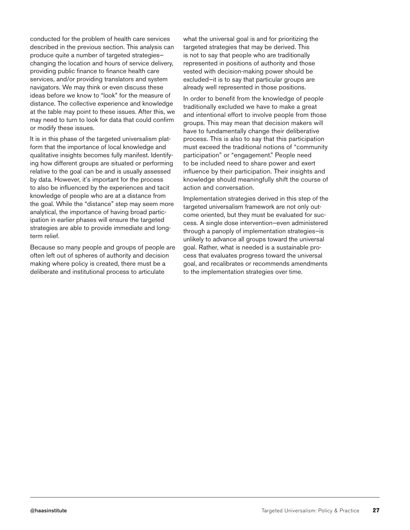conducted for the problem of health care services described in the previous section. This analysis can produce quite a number of targeted strategies changing the location and hours of service delivery, providing public finance to finance health care services, and/or providing translators and system navigators. We may think or even discuss these ideas before we know to "look" for the measure of distance. The collective experience and knowledge at the table may point to these issues. After this, we may need to turn to look for data that could confirm or modify these issues.

It is in this phase of the targeted universalism platform that the importance of local knowledge and qualitative insights becomes fully manifest. Identifying how different groups are situated or performing relative to the goal can be and is usually assessed by data. However, it's important for the process to also be influenced by the experiences and tacit knowledge of people who are at a distance from the goal. While the "distance" step may seem more analytical, the importance of having broad participation in earlier phases will ensure the targeted strategies are able to provide immediate and longterm relief.

Because so many people and groups of people are often left out of spheres of authority and decision making where policy is created, there must be a deliberate and institutional process to articulate

what the universal goal is and for prioritizing the targeted strategies that may be derived. This is not to say that people who are traditionally represented in positions of authority and those vested with decision-making power should be excluded—it is to say that particular groups are already well represented in those positions.

In order to benefit from the knowledge of people traditionally excluded we have to make a great and intentional effort to involve people from those groups. This may mean that decision makers will have to fundamentally change their deliberative process. This is also to say that this participation must exceed the traditional notions of "community participation" or "engagement." People need to be included need to share power and exert influence by their participation. Their insights and knowledge should meaningfully shift the course of action and conversation.

Implementation strategies derived in this step of the targeted universalism framework are not only outcome oriented, but they must be evaluated for success. A single dose intervention—even administered through a panoply of implementation strategies—is unlikely to advance all groups toward the universal goal. Rather, what is needed is a sustainable process that evaluates progress toward the universal goal, and recalibrates or recommends amendments to the implementation strategies over time.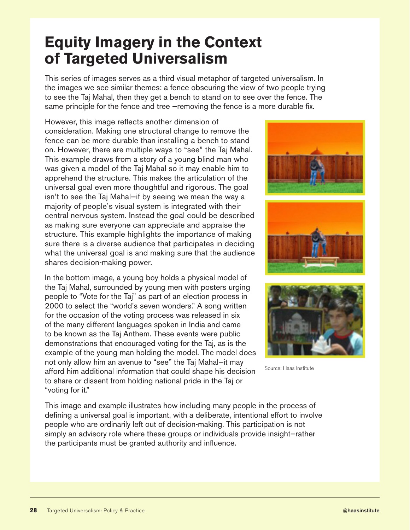### **Equity Imagery in the Context of Targeted Universalism**

This series of images serves as a third visual metaphor of targeted universalism. In the images we see similar themes: a fence obscuring the view of two people trying to see the Taj Mahal, then they get a bench to stand on to see over the fence. The same principle for the fence and tree –removing the fence is a more durable fix.

However, this image reflects another dimension of consideration. Making one structural change to remove the fence can be more durable than installing a bench to stand on. However, there are multiple ways to "see" the Taj Mahal. This example draws from a story of a young blind man who was given a model of the Taj Mahal so it may enable him to apprehend the structure. This makes the articulation of the universal goal even more thoughtful and rigorous. The goal isn't to see the Taj Mahal—if by seeing we mean the way a majority of people's visual system is integrated with their central nervous system. Instead the goal could be described as making sure everyone can appreciate and appraise the structure. This example highlights the importance of making sure there is a diverse audience that participates in deciding what the universal goal is and making sure that the audience shares decision-making power.

In the bottom image, a young boy holds a physical model of the Taj Mahal, surrounded by young men with posters urging people to "Vote for the Taj" as part of an election process in 2000 to select the "world's seven wonders." A song written for the occasion of the voting process was released in six of the many different languages spoken in India and came to be known as the Taj Anthem. These events were public demonstrations that encouraged voting for the Taj, as is the example of the young man holding the model. The model does not only allow him an avenue to "see" the Taj Mahal—it may afford him additional information that could shape his decision to share or dissent from holding national pride in the Taj or "voting for it."





Source: Haas Institute

This image and example illustrates how including many people in the process of defining a universal goal is important, with a deliberate, intentional effort to involve people who are ordinarily left out of decision-making. This participation is not simply an advisory role where these groups or individuals provide insight—rather the participants must be granted authority and influence.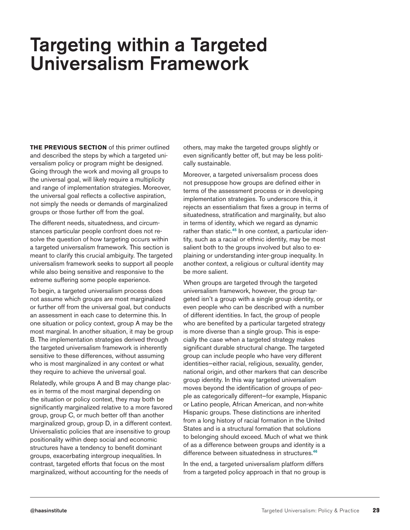### Targeting within a Targeted Universalism Framework

**THE PREVIOUS SECTION** of this primer outlined and described the steps by which a targeted universalism policy or program might be designed. Going through the work and moving all groups to the universal goal, will likely require a multiplicity and range of implementation strategies. Moreover, the universal goal reflects a collective aspiration, not simply the needs or demands of marginalized groups or those further off from the goal.

The different needs, situatedness, and circumstances particular people confront does not resolve the question of how targeting occurs within a targeted universalism framework. This section is meant to clarify this crucial ambiguity. The targeted universalism framework seeks to support all people while also being sensitive and responsive to the extreme suffering some people experience.

To begin, a targeted universalism process does not assume which groups are most marginalized or further off from the universal goal, but conducts an assessment in each case to determine this. In one situation or policy context, group A may be the most marginal. In another situation, it may be group B. The implementation strategies derived through the targeted universalism framework is inherently sensitive to these differences, without assuming who is most marginalized in any context or what they require to achieve the universal goal.

Relatedly, while groups A and B may change places in terms of the most marginal depending on the situation or policy context, they may both be significantly marginalized relative to a more favored group, group C, or much better off than another marginalized group, group D, in a different context. Universalistic policies that are insensitive to group positionality within deep social and economic structures have a tendency to benefit dominant groups, exacerbating intergroup inequalities. In contrast, targeted efforts that focus on the most marginalized, without accounting for the needs of

others, may make the targeted groups slightly or even significantly better off, but may be less politically sustainable.

Moreover, a targeted universalism process does not presuppose how groups are defined either in terms of the assessment process or in developing implementation strategies. To underscore this, it rejects an essentialism that fixes a group in terms of situatedness, stratification and marginality, but also in terms of identity, which we regard as dynamic rather than static.<sup>45</sup> In one context, a particular identity, such as a racial or ethnic identity, may be most salient both to the groups involved but also to explaining or understanding inter-group inequality. In another context, a religious or cultural identity may be more salient.

When groups are targeted through the targeted universalism framework, however, the group targeted isn't a group with a single group identity, or even people who can be described with a number of different identities. In fact, the group of people who are benefited by a particular targeted strategy is more diverse than a single group. This is especially the case when a targeted strategy makes significant durable structural change. The targeted group can include people who have very different identities—either racial, religious, sexuality, gender, national origin, and other markers that can describe group identity. In this way targeted universalism moves beyond the identification of groups of people as categorically different—for example, Hispanic or Latino people, African American, and non-white Hispanic groups. These distinctions are inherited from a long history of racial formation in the United States and is a structural formation that solutions to belonging should exceed. Much of what we think of as a difference between groups and identity is a difference between situatedness in structures.<sup>46</sup>

In the end, a targeted universalism platform differs from a targeted policy approach in that no group is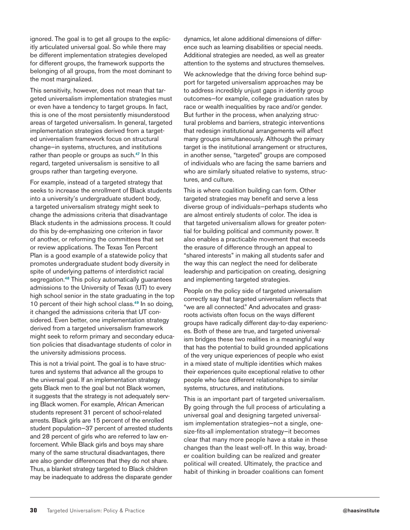ignored. The goal is to get all groups to the explicitly articulated universal goal. So while there may be different implementation strategies developed for different groups, the framework supports the belonging of all groups, from the most dominant to the most marginalized.

This sensitivity, however, does not mean that targeted universalism implementation strategies must or even have a tendency to target groups. In fact, this is one of the most persistently misunderstood areas of targeted universalism. In general, targeted implementation strategies derived from a targeted universalism framework focus on structural change—in systems, structures, and institutions rather than people or groups as such.<sup>47</sup> In this regard, targeted universalism is sensitive to all groups rather than targeting everyone.

For example, instead of a targeted strategy that seeks to increase the enrollment of Black students into a university's undergraduate student body, a targeted universalism strategy might seek to change the admissions criteria that disadvantage Black students in the admissions process. It could do this by de-emphasizing one criterion in favor of another, or reforming the committees that set or review applications. The Texas Ten Percent Plan is a good example of a statewide policy that promotes undergraduate student body diversity in spite of underlying patterns of interdistrict racial segregation.<sup>48</sup> This policy automatically guarantees admissions to the University of Texas (UT) to every high school senior in the state graduating in the top 10 percent of their high school class.<sup>49</sup> In so doing, it changed the admissions criteria that UT considered. Even better, one implementation strategy derived from a targeted universalism framework might seek to reform primary and secondary education policies that disadvantage students of color in the university admissions process.

This is not a trivial point. The goal is to have structures and systems that advance all the groups to the universal goal. If an implementation strategy gets Black men to the goal but not Black women, it suggests that the strategy is not adequately serving Black women. For example, African American students represent 31 percent of school-related arrests. Black girls are 15 percent of the enrolled student population—37 percent of arrested students and 28 percent of girls who are referred to law enforcement. While Black girls and boys may share many of the same structural disadvantages, there are also gender differences that they do not share. Thus, a blanket strategy targeted to Black children may be inadequate to address the disparate gender

dynamics, let alone additional dimensions of difference such as learning disabilities or special needs. Additional strategies are needed, as well as greater attention to the systems and structures themselves.

We acknowledge that the driving force behind support for targeted universalism approaches may be to address incredibly unjust gaps in identity group outcomes—for example, college graduation rates by race or wealth inequalities by race and/or gender. But further in the process, when analyzing structural problems and barriers, strategic interventions that redesign institutional arrangements will affect many groups simultaneously. Although the primary target is the institutional arrangement or structures, in another sense, "targeted" groups are composed of individuals who are facing the same barriers and who are similarly situated relative to systems, structures, and culture.

This is where coalition building can form. Other targeted strategies may benefit and serve a less diverse group of individuals—perhaps students who are almost entirely students of color. The idea is that targeted universalism allows for greater potential for building political and community power. It also enables a practicable movement that exceeds the erasure of difference through an appeal to "shared interests" in making all students safer and the way this can neglect the need for deliberate leadership and participation on creating, designing and implementing targeted strategies.

People on the policy side of targeted universalism correctly say that targeted universalism reflects that "we are all connected." And advocates and grassroots activists often focus on the ways different groups have radically different day-to-day experiences. Both of these are true, and targeted universalism bridges these two realities in a meaningful way that has the potential to build grounded applications of the very unique experiences of people who exist in a mixed state of multiple identities which makes their experiences quite exceptional relative to other people who face different relationships to similar systems, structures, and institutions.

This is an important part of targeted universalism. By going through the full process of articulating a universal goal and designing targeted universalism implementation strategies—not a single, onesize-fits-all implementation strategy—it becomes clear that many more people have a stake in these changes than the least well-off. In this way, broader coalition building can be realized and greater political will created. Ultimately, the practice and habit of thinking in broader coalitions can foment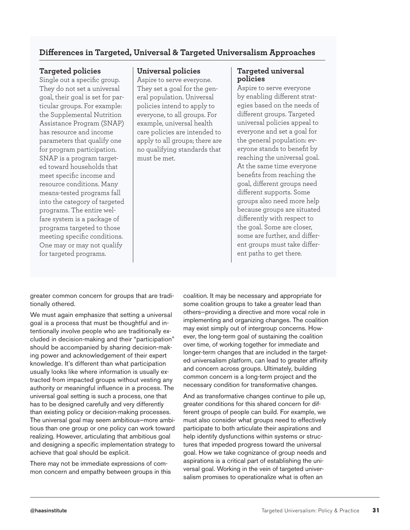#### **Differences in Targeted, Universal & Targeted Universalism Approaches**

#### **Targeted policies**

Single out a specific group. They do not set a universal goal, their goal is set for particular groups. For example: the Supplemental Nutrition Assistance Program (SNAP) has resource and income parameters that qualify one for program participation. SNAP is a program targeted toward households that meet specific income and resource conditions. Many means-tested programs fall into the category of targeted programs. The entire welfare system is a package of programs targeted to those meeting specific conditions. One may or may not qualify for targeted programs.

#### **Universal policies**

Aspire to serve everyone. They set a goal for the general population. Universal policies intend to apply to everyone, to all groups. For example, universal health care policies are intended to apply to all groups; there are no qualifying standards that must be met.

#### **Targeted universal policies**

Aspire to serve everyone by enabling different strategies based on the needs of different groups. Targeted universal policies appeal to everyone and set a goal for the general population: everyone stands to benefit by reaching the universal goal. At the same time everyone benefits from reaching the goal, different groups need different supports. Some groups also need more help because groups are situated differently with respect to the goal. Some are closer, some are further, and different groups must take different paths to get there.

greater common concern for groups that are traditionally othered.

We must again emphasize that setting a universal goal is a process that must be thoughtful and intentionally involve people who are traditionally excluded in decision-making and their "participation" should be accompanied by sharing decision-making power and acknowledgement of their expert knowledge. It's different than what participation usually looks like where information is usually extracted from impacted groups without vesting any authority or meaningful influence in a process. The universal goal setting is such a process, one that has to be designed carefully and very differently than existing policy or decision-making processes. The universal goal may seem ambitious—more ambitious than one group or one policy can work toward realizing. However, articulating that ambitious goal and designing a specific implementation strategy to achieve that goal should be explicit.

There may not be immediate expressions of common concern and empathy between groups in this coalition. It may be necessary and appropriate for some coalition groups to take a greater lead than others—providing a directive and more vocal role in implementing and organizing changes. The coalition may exist simply out of intergroup concerns. However, the long-term goal of sustaining the coalition over time, of working together for immediate and longer-term changes that are included in the targeted universalism platform, can lead to greater affinity and concern across groups. Ultimately, building common concern is a long-term project and the necessary condition for transformative changes.

And as transformative changes continue to pile up, greater conditions for this shared concern for different groups of people can build. For example, we must also consider what groups need to effectively participate to both articulate their aspirations and help identify dysfunctions within systems or structures that impeded progress toward the universal goal. How we take cognizance of group needs and aspirations is a critical part of establishing the universal goal. Working in the vein of targeted universalism promises to operationalize what is often an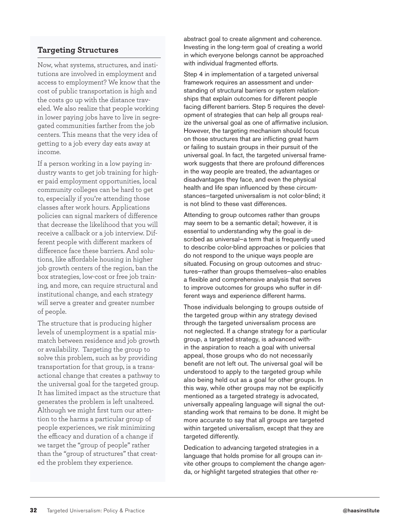#### **Targeting Structures**

Now, what systems, structures, and institutions are involved in employment and access to employment? We know that the cost of public transportation is high and the costs go up with the distance traveled. We also realize that people working in lower paying jobs have to live in segregated communities farther from the job centers. This means that the very idea of getting to a job every day eats away at income.

If a person working in a low paying industry wants to get job training for higher paid employment opportunities, local community colleges can be hard to get to, especially if you're attending those classes after work hours. Applications policies can signal markers of difference that decrease the likelihood that you will receive a callback or a job interview. Different people with different markers of difference face these barriers. And solutions, like affordable housing in higher job growth centers of the region, ban the box strategies, low-cost or free job training, and more, can require structural and institutional change, and each strategy will serve a greater and greater number of people.

The structure that is producing higher levels of unemployment is a spatial mismatch between residence and job growth or availability. Targeting the group to solve this problem, such as by providing transportation for that group, is a transactional change that creates a pathway to the universal goal for the targeted group. It has limited impact as the structure that generates the problem is left unaltered. Although we might first turn our attention to the harms a particular group of people experiences, we risk minimizing the efficacy and duration of a change if we target the "group of people" rather than the "group of structures" that created the problem they experience.

abstract goal to create alignment and coherence. Investing in the long-term goal of creating a world in which everyone belongs cannot be approached with individual fragmented efforts.

Step 4 in implementation of a targeted universal framework requires an assessment and understanding of structural barriers or system relationships that explain outcomes for different people facing different barriers. Step 5 requires the development of strategies that can help all groups realize the universal goal as one of affirmative inclusion. However, the targeting mechanism should focus on those structures that are inflicting great harm or failing to sustain groups in their pursuit of the universal goal. In fact, the targeted universal framework suggests that there are profound differences in the way people are treated, the advantages or disadvantages they face, and even the physical health and life span influenced by these circumstances—targeted universalism is not color-blind; it is not blind to these vast differences.

Attending to group outcomes rather than groups may seem to be a semantic detail; however, it is essential to understanding why the goal is described as universal—a term that is frequently used to describe color-blind approaches or policies that do not respond to the unique ways people are situated. Focusing on group outcomes and structures—rather than groups themselves—also enables a flexible and comprehensive analysis that serves to improve outcomes for groups who suffer in different ways and experience different harms.

Those individuals belonging to groups outside of the targeted group within any strategy devised through the targeted universalism process are not neglected. If a change strategy for a particular group, a targeted strategy, is advanced within the aspiration to reach a goal with universal appeal, those groups who do not necessarily benefit are not left out. The universal goal will be understood to apply to the targeted group while also being held out as a goal for other groups. In this way, while other groups may not be explicitly mentioned as a targeted strategy is advocated, universally appealing language will signal the outstanding work that remains to be done. It might be more accurate to say that all groups are targeted within targeted universalism, except that they are targeted differently.

Dedication to advancing targeted strategies in a language that holds promise for all groups can invite other groups to complement the change agenda, or highlight targeted strategies that other re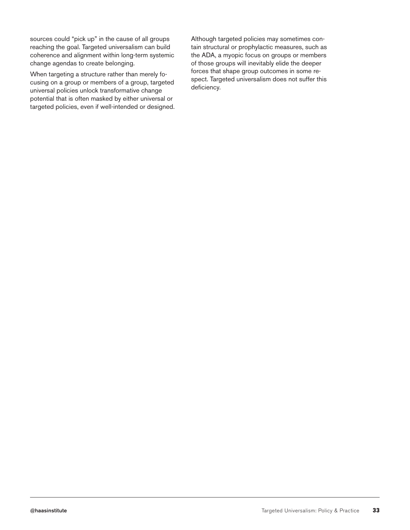sources could "pick up" in the cause of all groups reaching the goal. Targeted universalism can build coherence and alignment within long-term systemic change agendas to create belonging.

When targeting a structure rather than merely focusing on a group or members of a group, targeted universal policies unlock transformative change potential that is often masked by either universal or targeted policies, even if well-intended or designed. Although targeted policies may sometimes contain structural or prophylactic measures, such as the ADA, a myopic focus on groups or members of those groups will inevitably elide the deeper forces that shape group outcomes in some respect. Targeted universalism does not suffer this deficiency.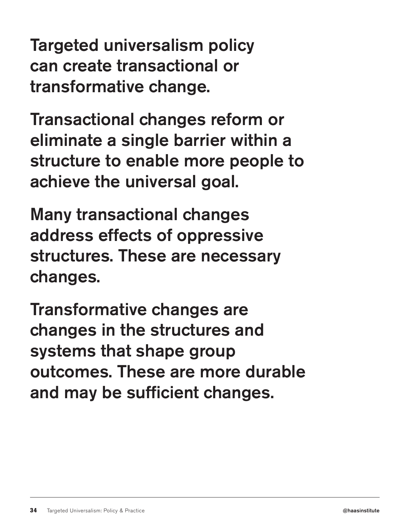Targeted universalism policy can create transactional or transformative change.

Transactional changes reform or eliminate a single barrier within a structure to enable more people to achieve the universal goal.

Many transactional changes address effects of oppressive structures. These are necessary changes.

Transformative changes are changes in the structures and systems that shape group outcomes. These are more durable and may be sufficient changes.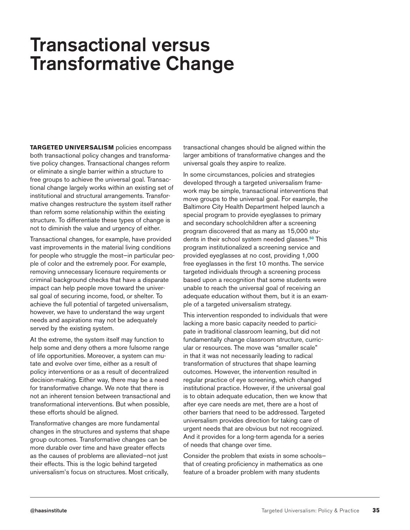## Transactional versus Transformative Change

**TARGETED UNIVERSALISM** policies encompass both transactional policy changes and transformative policy changes. Transactional changes reform or eliminate a single barrier within a structure to free groups to achieve the universal goal. Transactional change largely works within an existing set of institutional and structural arrangements. Transformative changes restructure the system itself rather than reform some relationship within the existing structure. To differentiate these types of change is not to diminish the value and urgency of either.

Transactional changes, for example, have provided vast improvements in the material living conditions for people who struggle the most—in particular people of color and the extremely poor. For example, removing unnecessary licensure requirements or criminal background checks that have a disparate impact can help people move toward the universal goal of securing income, food, or shelter. To achieve the full potential of targeted universalism, however, we have to understand the way urgent needs and aspirations may not be adequately served by the existing system.

At the extreme, the system itself may function to help some and deny others a more fulsome range of life opportunities. Moreover, a system can mutate and evolve over time, either as a result of policy interventions or as a result of decentralized decision-making. Either way, there may be a need for transformative change. We note that there is not an inherent tension between transactional and transformational interventions. But when possible, these efforts should be aligned.

Transformative changes are more fundamental changes in the structures and systems that shape group outcomes. Transformative changes can be more durable over time and have greater effects as the causes of problems are alleviated—not just their effects. This is the logic behind targeted universalism's focus on structures. Most critically,

transactional changes should be aligned within the larger ambitions of transformative changes and the universal goals they aspire to realize.

In some circumstances, policies and strategies developed through a targeted universalism framework may be simple, transactional interventions that move groups to the universal goal. For example, the Baltimore City Health Department helped launch a special program to provide eyeglasses to primary and secondary schoolchildren after a screening program discovered that as many as 15,000 students in their school system needed glasses.<sup>50</sup> This program institutionalized a screening service and provided eyeglasses at no cost, providing 1,000 free eyeglasses in the first 10 months. The service targeted individuals through a screening process based upon a recognition that some students were unable to reach the universal goal of receiving an adequate education without them, but it is an example of a targeted universalism strategy.

This intervention responded to individuals that were lacking a more basic capacity needed to participate in traditional classroom learning, but did not fundamentally change classroom structure, curricular or resources. The move was "smaller scale" in that it was not necessarily leading to radical transformation of structures that shape learning outcomes. However, the intervention resulted in regular practice of eye screening, which changed institutional practice. However, if the universal goal is to obtain adequate education, then we know that after eye care needs are met, there are a host of other barriers that need to be addressed. Targeted universalism provides direction for taking care of urgent needs that are obvious but not recognized. And it provides for a long-term agenda for a series of needs that change over time.

Consider the problem that exists in some schools that of creating proficiency in mathematics as one feature of a broader problem with many students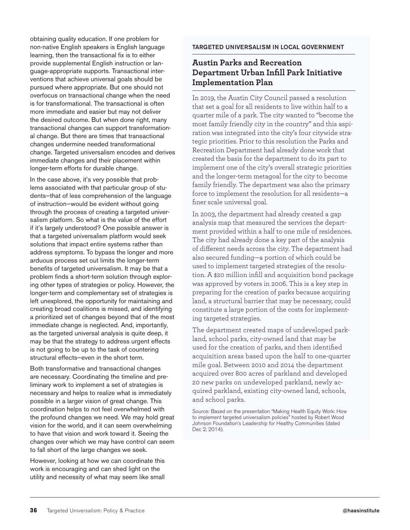obtaining quality education. If one problem for non-native English speakers is English language learning, then the transactional fix is to either provide supplemental English instruction or language-appropriate supports. Transactional interventions that achieve universal goals should be pursued where appropriate. But one should not overfocus on transactional change when the need is for transformational. The transactional is often more immediate and easier but may not deliver the desired outcome. But when done right, many transactional changes can support transformational change. But there are times that transactional changes undermine needed transformational change. Targeted universalism encodes and derives immediate changes and their placement within longer-term efforts for durable change.

In the case above, it's very possible that problems associated with that particular group of students—that of less comprehension of the language of instruction—would be evident without going through the process of creating a targeted universalism platform. So what is the value of the effort if it's largely understood? One possible answer is that a targeted universalism platform would seek solutions that impact entire systems rather than address symptoms. To bypass the longer and more arduous process set out limits the longer-term benefits of targeted universalism. It may be that a problem finds a short-term solution through exploring other types of strategies or policy. However, the longer-term and complementary set of strategies is left unexplored, the opportunity for maintaining and creating broad coalitions is missed, and identifying a prioritized set of changes beyond that of the most immediate change is neglected. And, importantly, as the targeted universal analysis is quite deep, it may be that the strategy to address urgent effects is not going to be up to the task of countering structural effects—even in the short term.

Both transformative and transactional changes are necessary. Coordinating the timeline and preliminary work to implement a set of strategies is necessary and helps to realize what is immediately possible in a larger vision of great change. This coordination helps to not feel overwhelmed with the profound changes we need. We may hold great vision for the world, and it can seem overwhelming to have that vision and work toward it. Seeing the changes over which we may have control can seem to fall short of the large changes we seek.

However, looking at how we can coordinate this work is encouraging and can shed light on the utility and necessity of what may seem like small

#### TARGETED UNIVERSALISM IN LOCAL GOVERNMENT

#### **Austin Parks and Recreation Department Urban Infill Park Initiative Implementation Plan**

In 2019, the Austin City Council passed a resolution that set a goal for all residents to live within half to a quarter mile of a park. The city wanted to "become the most family friendly city in the country" and this aspiration was integrated into the city's four citywide strategic priorities. Prior to this resolution the Parks and Recreation Department had already done work that created the basis for the department to do its part to implement one of the city's overall strategic priorities and the longer-term metagoal for the city to become family friendly. The department was also the primary force to implement the resolution for all residents—a finer scale universal goal.

In 2003, the department had already created a gap analysis map that measured the services the department provided within a half to one mile of residences. The city had already done a key part of the analysis of different needs across the city. The department had also secured funding—a portion of which could be used to implement targeted strategies of the resolution. A \$20 million infill and acquisition bond package was approved by voters in 2006. This is a key step in preparing for the creation of parks because acquiring land, a structural barrier that may be necessary, could constitute a large portion of the costs for implementing targeted strategies.

The department created maps of undeveloped parkland, school parks, city-owned land that may be used for the creation of parks, and then identified acquisition areas based upon the half to one-quarter mile goal. Between 2010 and 2014 the department acquired over 800 acres of parkland and developed 20 new parks on undeveloped parkland, newly acquired parkland, existing city-owned land, schools, and school parks.

Source: Based on the presentation "Making Health Equity Work: How to implement targeted universalism policies" hosted by Robert Wood Johnson Foundation's Leadership for Healthy Communities (dated Dec 2, 2014).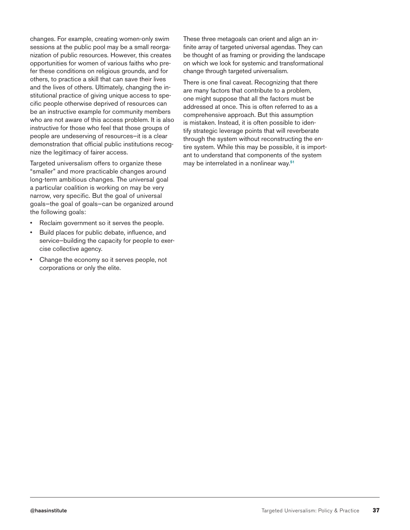changes. For example, creating women-only swim sessions at the public pool may be a small reorganization of public resources. However, this creates opportunities for women of various faiths who prefer these conditions on religious grounds, and for others, to practice a skill that can save their lives and the lives of others. Ultimately, changing the institutional practice of giving unique access to specific people otherwise deprived of resources can be an instructive example for community members who are not aware of this access problem. It is also instructive for those who feel that those groups of people are undeserving of resources—it is a clear demonstration that official public institutions recognize the legitimacy of fairer access.

Targeted universalism offers to organize these "smaller" and more practicable changes around long-term ambitious changes. The universal goal a particular coalition is working on may be very narrow, very specific. But the goal of universal goals—the goal of goals—can be organized around the following goals:

- Reclaim government so it serves the people.
- Build places for public debate, influence, and service—building the capacity for people to exercise collective agency.
- Change the economy so it serves people, not corporations or only the elite.

These three metagoals can orient and align an infinite array of targeted universal agendas. They can be thought of as framing or providing the landscape on which we look for systemic and transformational change through targeted universalism.

There is one final caveat. Recognizing that there are many factors that contribute to a problem, one might suppose that all the factors must be addressed at once. This is often referred to as a comprehensive approach. But this assumption is mistaken. Instead, it is often possible to identify strategic leverage points that will reverberate through the system without reconstructing the entire system. While this may be possible, it is important to understand that components of the system may be interrelated in a nonlinear way.51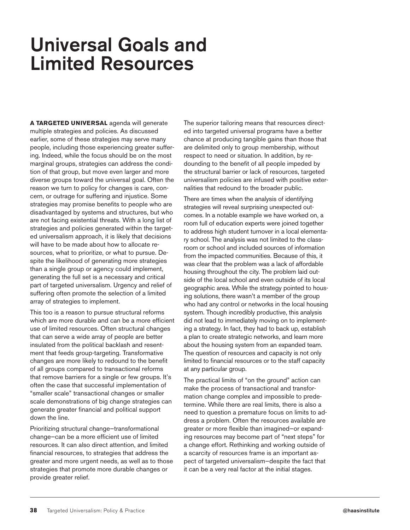## Universal Goals and Limited Resources

**A TARGETED UNIVERSAL** agenda will generate multiple strategies and policies. As discussed earlier, some of these strategies may serve many people, including those experiencing greater suffering. Indeed, while the focus should be on the most marginal groups, strategies can address the condition of that group, but move even larger and more diverse groups toward the universal goal. Often the reason we turn to policy for changes is care, concern, or outrage for suffering and injustice. Some strategies may promise benefits to people who are disadvantaged by systems and structures, but who are not facing existential threats. With a long list of strategies and policies generated within the targeted universalism approach, it is likely that decisions will have to be made about how to allocate resources, what to prioritize, or what to pursue. Despite the likelihood of generating more strategies than a single group or agency could implement, generating the full set is a necessary and critical part of targeted universalism. Urgency and relief of suffering often promote the selection of a limited array of strategies to implement.

This too is a reason to pursue structural reforms which are more durable and can be a more efficient use of limited resources. Often structural changes that can serve a wide array of people are better insulated from the political backlash and resentment that feeds group-targeting. Transformative changes are more likely to redound to the benefit of all groups compared to transactional reforms that remove barriers for a single or few groups. It's often the case that successful implementation of "smaller scale" transactional changes or smaller scale demonstrations of big change strategies can generate greater financial and political support down the line.

Prioritizing structural change—transformational change—can be a more efficient use of limited resources. It can also direct attention, and limited financial resources, to strategies that address the greater and more urgent needs, as well as to those strategies that promote more durable changes or provide greater relief.

The superior tailoring means that resources directed into targeted universal programs have a better chance at producing tangible gains than those that are delimited only to group membership, without respect to need or situation. In addition, by redounding to the benefit of all people impeded by the structural barrier or lack of resources, targeted universalism policies are infused with positive externalities that redound to the broader public.

There are times when the analysis of identifying strategies will reveal surprising unexpected outcomes. In a notable example we have worked on, a room full of education experts were joined together to address high student turnover in a local elementary school. The analysis was not limited to the classroom or school and included sources of information from the impacted communities. Because of this, it was clear that the problem was a lack of affordable housing throughout the city. The problem laid outside of the local school and even outside of its local geographic area. While the strategy pointed to housing solutions, there wasn't a member of the group who had any control or networks in the local housing system. Though incredibly productive, this analysis did not lead to immediately moving on to implementing a strategy. In fact, they had to back up, establish a plan to create strategic networks, and learn more about the housing system from an expanded team. The question of resources and capacity is not only limited to financial resources or to the staff capacity at any particular group.

The practical limits of "on the ground" action can make the process of transactional and transformation change complex and impossible to predetermine. While there are real limits, there is also a need to question a premature focus on limits to address a problem. Often the resources available are greater or more flexible than imagined—or expanding resources may become part of "next steps" for a change effort. Rethinking and working outside of a scarcity of resources frame is an important aspect of targeted universalism—despite the fact that it can be a very real factor at the initial stages.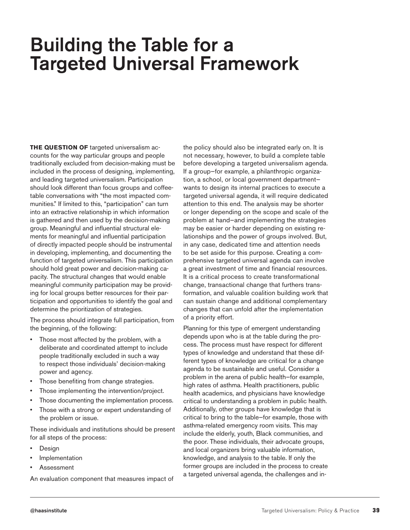### Building the Table for a Targeted Universal Framework

**THE QUESTION OF** targeted universalism accounts for the way particular groups and people traditionally excluded from decision-making must be included in the process of designing, implementing, and leading targeted universalism. Participation should look different than focus groups and coffeetable conversations with "the most impacted communities." If limited to this, "participation" can turn into an extractive relationship in which information is gathered and then used by the decision-making group. Meaningful and influential structural elements for meaningful and influential participation of directly impacted people should be instrumental in developing, implementing, and documenting the function of targeted universalism. This participation should hold great power and decision-making capacity. The structural changes that would enable meaningful community participation may be providing for local groups better resources for their participation and opportunities to identify the goal and determine the prioritization of strategies.

The process should integrate full participation, from the beginning, of the following:

- Those most affected by the problem, with a deliberate and coordinated attempt to include people traditionally excluded in such a way to respect those individuals' decision-making power and agency.
- Those benefiting from change strategies.
- Those implementing the intervention/project.
- Those documenting the implementation process.
- Those with a strong or expert understanding of the problem or issue.

These individuals and institutions should be present for all steps of the process:

- Design
- **Implementation**
- **Assessment**

An evaluation component that measures impact of

the policy should also be integrated early on. It is not necessary, however, to build a complete table before developing a targeted universalism agenda. If a group—for example, a philanthropic organization, a school, or local government department wants to design its internal practices to execute a targeted universal agenda, it will require dedicated attention to this end. The analysis may be shorter or longer depending on the scope and scale of the problem at hand—and implementing the strategies may be easier or harder depending on existing relationships and the power of groups involved. But, in any case, dedicated time and attention needs to be set aside for this purpose. Creating a comprehensive targeted universal agenda can involve a great investment of time and financial resources. It is a critical process to create transformational change, transactional change that furthers transformation, and valuable coalition building work that can sustain change and additional complementary changes that can unfold after the implementation of a priority effort.

Planning for this type of emergent understanding depends upon who is at the table during the process. The process must have respect for different types of knowledge and understand that these different types of knowledge are critical for a change agenda to be sustainable and useful. Consider a problem in the arena of public health—for example, high rates of asthma. Health practitioners, public health academics, and physicians have knowledge critical to understanding a problem in public health. Additionally, other groups have knowledge that is critical to bring to the table—for example, those with asthma-related emergency room visits. This may include the elderly, youth, Black communities, and the poor. These individuals, their advocate groups, and local organizers bring valuable information, knowledge, and analysis to the table. If only the former groups are included in the process to create a targeted universal agenda, the challenges and in-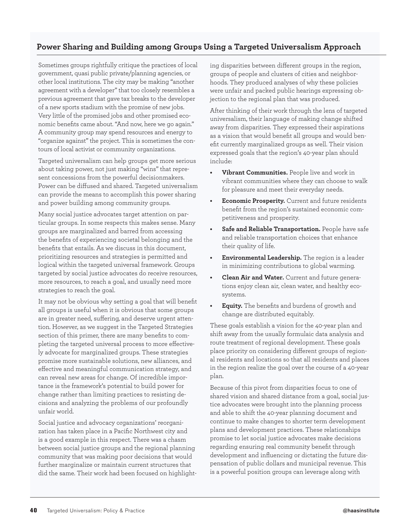#### **Power Sharing and Building among Groups Using a Targeted Universalism Approach**

Sometimes groups rightfully critique the practices of local government, quasi public private/planning agencies, or other local institutions. The city may be making "another agreement with a developer" that too closely resembles a previous agreement that gave tax breaks to the developer of a new sports stadium with the promise of new jobs. Very little of the promised jobs and other promised economic benefits came about. "And now, here we go again." A community group may spend resources and energy to "organize against" the project. This is sometimes the contours of local activist or community organizations.

Targeted universalism can help groups get more serious about taking power, not just making "wins" that represent concessions from the powerful decisionmakers. Power can be diffused and shared. Targeted universalism can provide the means to accomplish this power sharing and power building among community groups.

Many social justice advocates target attention on particular groups. In some respects this makes sense. Many groups are marginalized and barred from accessing the benefits of experiencing societal belonging and the benefits that entails. As we discuss in this document, prioritizing resources and strategies is permitted and logical within the targeted universal framework. Groups targeted by social justice advocates do receive resources, more resources, to reach a goal, and usually need more strategies to reach the goal.

It may not be obvious why setting a goal that will benefit all groups is useful when it is obvious that some groups are in greater need, suffering, and deserve urgent attention. However, as we suggest in the Targeted Strategies section of this primer, there are many benefits to completing the targeted universal process to more effectively advocate for marginalized groups. These strategies promise more sustainable solutions, new alliances, and effective and meaningful communication strategy, and can reveal new areas for change. Of incredible importance is the framework's potential to build power for change rather than limiting practices to resisting decisions and analyzing the problems of our profoundly unfair world.

Social justice and advocacy organizations' reorganization has taken place in a Pacific Northwest city and is a good example in this respect. There was a chasm between social justice groups and the regional planning community that was making poor decisions that would further marginalize or maintain current structures that did the same. Their work had been focused on highlight-

ing disparities between different groups in the region, groups of people and clusters of cities and neighborhoods. They produced analyses of why these policies were unfair and packed public hearings expressing objection to the regional plan that was produced.

After thinking of their work through the lens of targeted universalism, their language of making change shifted away from disparities. They expressed their aspirations as a vision that would benefit all groups and would benefit currently marginalized groups as well. Their vision expressed goals that the region's 40-year plan should include:

- **• Vibrant Communities.** People live and work in vibrant communities where they can choose to walk for pleasure and meet their everyday needs.
- **• Economic Prosperity.** Current and future residents benefit from the region's sustained economic competitiveness and prosperity.
- **• Safe and Reliable Transportation.** People have safe and reliable transportation choices that enhance their quality of life.
- **• Environmental Leadership.** The region is a leader in minimizing contributions to global warming.
- **• Clean Air and Water.** Current and future generations enjoy clean air, clean water, and healthy ecosystems.
- **• Equity.** The benefits and burdens of growth and change are distributed equitably.

These goals establish a vision for the 40-year plan and shift away from the usually formulaic data analysis and route treatment of regional development. These goals place priority on considering different groups of regional residents and locations so that all residents and places in the region realize the goal over the course of a 40-year plan.

Because of this pivot from disparities focus to one of shared vision and shared distance from a goal, social justice advocates were brought into the planning process and able to shift the 40-year planning document and continue to make changes to shorter term development plans and development practices. These relationships promise to let social justice advocates make decisions regarding ensuring real community benefit through development and influencing or dictating the future dispensation of public dollars and municipal revenue. This is a powerful position groups can leverage along with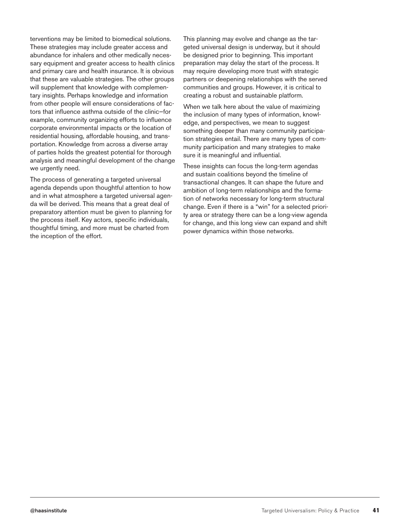terventions may be limited to biomedical solutions. These strategies may include greater access and abundance for inhalers and other medically necessary equipment and greater access to health clinics and primary care and health insurance. It is obvious that these are valuable strategies. The other groups will supplement that knowledge with complementary insights. Perhaps knowledge and information from other people will ensure considerations of factors that influence asthma outside of the clinic—for example, community organizing efforts to influence corporate environmental impacts or the location of residential housing, affordable housing, and transportation. Knowledge from across a diverse array of parties holds the greatest potential for thorough analysis and meaningful development of the change we urgently need.

The process of generating a targeted universal agenda depends upon thoughtful attention to how and in what atmosphere a targeted universal agenda will be derived. This means that a great deal of preparatory attention must be given to planning for the process itself. Key actors, specific individuals, thoughtful timing, and more must be charted from the inception of the effort.

This planning may evolve and change as the targeted universal design is underway, but it should be designed prior to beginning. This important preparation may delay the start of the process. It may require developing more trust with strategic partners or deepening relationships with the served communities and groups. However, it is critical to creating a robust and sustainable platform.

When we talk here about the value of maximizing the inclusion of many types of information, knowledge, and perspectives, we mean to suggest something deeper than many community participation strategies entail. There are many types of community participation and many strategies to make sure it is meaningful and influential.

These insights can focus the long-term agendas and sustain coalitions beyond the timeline of transactional changes. It can shape the future and ambition of long-term relationships and the formation of networks necessary for long-term structural change. Even if there is a "win" for a selected priority area or strategy there can be a long-view agenda for change, and this long view can expand and shift power dynamics within those networks.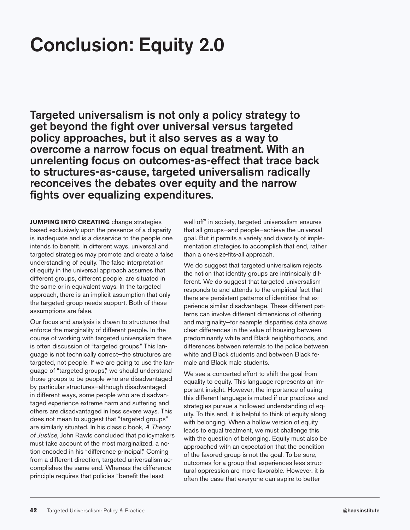## Conclusion: Equity 2.0

Targeted universalism is not only a policy strategy to get beyond the fight over universal versus targeted policy approaches, but it also serves as a way to overcome a narrow focus on equal treatment. With an unrelenting focus on outcomes-as-effect that trace back to structures-as-cause, targeted universalism radically reconceives the debates over equity and the narrow fights over equalizing expenditures.

**JUMPING INTO CREATING** change strategies based exclusively upon the presence of a disparity is inadequate and is a disservice to the people one intends to benefit. In different ways, universal and targeted strategies may promote and create a false understanding of equity. The false interpretation of equity in the universal approach assumes that different groups, different people, are situated in the same or in equivalent ways. In the targeted approach, there is an implicit assumption that only the targeted group needs support. Both of these assumptions are false.

Our focus and analysis is drawn to structures that enforce the marginality of different people. In the course of working with targeted universalism there is often discussion of "targeted groups." This language is not technically correct—the structures are targeted, not people. If we are going to use the language of "targeted groups," we should understand those groups to be people who are disadvantaged by particular structures—although disadvantaged in different ways, some people who are disadvantaged experience extreme harm and suffering and others are disadvantaged in less severe ways. This does not mean to suggest that "targeted groups" are similarly situated. In his classic book, *A Theory of Justice,* John Rawls concluded that policymakers must take account of the most marginalized, a notion encoded in his "difference principal." Coming from a different direction, targeted universalism accomplishes the same end. Whereas the difference principle requires that policies "benefit the least

well-off" in society, targeted universalism ensures that all groups—and people—achieve the universal goal. But it permits a variety and diversity of implementation strategies to accomplish that end, rather than a one-size-fits-all approach.

We do suggest that targeted universalism rejects the notion that identity groups are intrinsically different. We do suggest that targeted universalism responds to and attends to the empirical fact that there are persistent patterns of identities that experience similar disadvantage. These different patterns can involve different dimensions of othering and marginality—for example disparities data shows clear differences in the value of housing between predominantly white and Black neighborhoods, and differences between referrals to the police between white and Black students and between Black female and Black male students.

We see a concerted effort to shift the goal from equality to equity. This language represents an important insight. However, the importance of using this different language is muted if our practices and strategies pursue a hollowed understanding of equity. To this end, it is helpful to think of equity along with belonging. When a hollow version of equity leads to equal treatment, we must challenge this with the question of belonging. Equity must also be approached with an expectation that the condition of the favored group is not the goal. To be sure, outcomes for a group that experiences less structural oppression are more favorable. However, it is often the case that everyone can aspire to better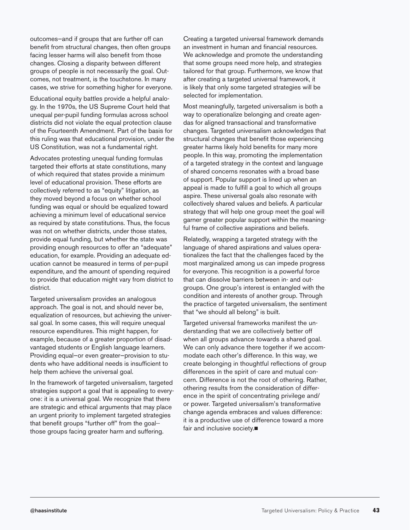outcomes—and if groups that are further off can benefit from structural changes, then often groups facing lesser harms will also benefit from those changes. Closing a disparity between different groups of people is not necessarily the goal. Outcomes, not treatment, is the touchstone. In many cases, we strive for something higher for everyone.

Educational equity battles provide a helpful analogy. In the 1970s, the US Supreme Court held that unequal per-pupil funding formulas across school districts did not violate the equal protection clause of the Fourteenth Amendment. Part of the basis for this ruling was that educational provision, under the US Constitution, was not a fundamental right.

Advocates protesting unequal funding formulas targeted their efforts at state constitutions, many of which required that states provide a minimum level of educational provision. These efforts are collectively referred to as "equity" litigation, as they moved beyond a focus on whether school funding was equal or should be equalized toward achieving a minimum level of educational service as required by state constitutions. Thus, the focus was not on whether districts, under those states, provide equal funding, but whether the state was providing enough resources to offer an "adequate" education, for example. Providing an adequate education cannot be measured in terms of per-pupil expenditure, and the amount of spending required to provide that education might vary from district to district.

Targeted universalism provides an analogous approach. The goal is not, and should never be, equalization of resources, but achieving the universal goal. In some cases, this will require unequal resource expenditures. This might happen, for example, because of a greater proportion of disadvantaged students or English language learners. Providing equal—or even greater—provision to students who have additional needs is insufficient to help them achieve the universal goal.

In the framework of targeted universalism, targeted strategies support a goal that is appealing to everyone: it is a universal goal. We recognize that there are strategic and ethical arguments that may place an urgent priority to implement targeted strategies that benefit groups "further off" from the goal- those groups facing greater harm and suffering.

Creating a targeted universal framework demands an investment in human and financial resources. We acknowledge and promote the understanding that some groups need more help, and strategies tailored for that group. Furthermore, we know that after creating a targeted universal framework, it is likely that only some targeted strategies will be selected for implementation.

Most meaningfully, targeted universalism is both a way to operationalize belonging and create agendas for aligned transactional and transformative changes. Targeted universalism acknowledges that structural changes that benefit those experiencing greater harms likely hold benefits for many more people. In this way, promoting the implementation of a targeted strategy in the context and language of shared concerns resonates with a broad base of support. Popular support is lined up when an appeal is made to fulfill a goal to which all groups aspire. These universal goals also resonate with collectively shared values and beliefs. A particular strategy that will help one group meet the goal will garner greater popular support within the meaningful frame of collective aspirations and beliefs.

Relatedly, wrapping a targeted strategy with the language of shared aspirations and values operationalizes the fact that the challenges faced by the most marginalized among us can impede progress for everyone. This recognition is a powerful force that can dissolve barriers between in- and outgroups. One group's interest is entangled with the condition and interests of another group. Through the practice of targeted universalism, the sentiment that "we should all belong" is built.

Targeted universal frameworks manifest the understanding that we are collectively better off when all groups advance towards a shared goal. We can only advance there together if we accommodate each other's difference. In this way, we create belonging in thoughtful reflections of group differences in the spirit of care and mutual concern. Difference is not the root of othering. Rather, othering results from the consideration of difference in the spirit of concentrating privilege and/ or power. Targeted universalism's transformative change agenda embraces and values difference: it is a productive use of difference toward a more fair and inclusive society. $\blacksquare$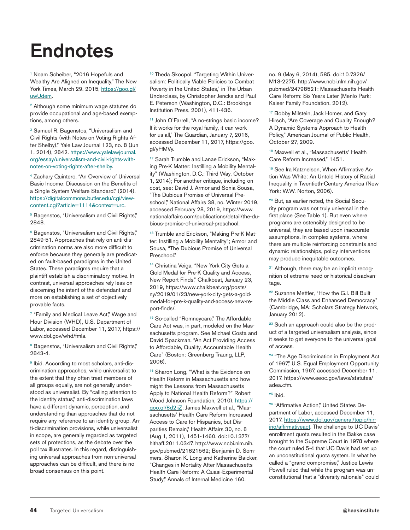## **Endnotes**

1 Noam Scheiber, "2016 Hopefuls and Wealthy Are Aligned on Inequality," The New York Times, March 29, 2015, https://goo.gl/ uwUdem.

2 Although some minimum wage statutes do provide occupational and age-based exemptions, among others.

<sup>3</sup> Samuel R. Bagenstos, "Universalism and Civil Rights (with Notes on Voting Rights After Shelby)," Yale Law Journal 123, no. 8 (Jun 1, 2014), 2842. https://www.yalelawjournal. org/essay/universalism-and-civil-rights-withnotes-on-voting-rights-after-shelby.

4 Zachary Quintero. "An Overview of Universal Basic Income: Discussion on the Benefits of a Single System Welfare Standard." (2014). https://digitalcommons.butler.edu/cgi/viewcontent.cgi?article=1114&context=urc.

<sup>5</sup> Bagenstos, "Universalism and Civil Rights," 2848.

6 Bagenstos, "Universalism and Civil Rights," 2849-51. Approaches that rely on anti-discrimination norms are also more difficult to enforce because they generally are predicated on fault-based paradigms in the United States. These paradigms require that a plaintiff establish a discriminatory motive. In contrast, universal approaches rely less on discerning the intent of the defendant and more on establishing a set of objectively provable facts.

7 "Family and Medical Leave Act," Wage and Hour Division (WHD), U.S. Department of Labor, accessed December 11, 2017, https:// www.dol.gov/whd/fmla.

<sup>8</sup> Bagenstos, "Universalism and Civil Rights," 2843-4.

<sup>9</sup> Ibid. According to most scholars, anti-discrimination approaches, while universalist to the extent that they often treat members of all groups equally, are not generally understood as universalist. By "calling attention to the identity status," anti-discrimination laws have a different dynamic, perception, and understanding than approaches that do not require any reference to an identity group. Anti-discrimination provisions, while universalist in scope, are generally regarded as targeted sets of protections, as the debate over the poll tax illustrates. In this regard, distinguishing universal approaches from non-universal approaches can be difficult, and there is no broad consensus on this point.

<sup>10</sup> Theda Skocpol, "Targeting Within Universalism: Politically Viable Policies to Combat Poverty in the United States," in The Urban Underclass, by Christopher Jencks and Paul E. Peterson (Washington, D.C.: Brookings Institution Press, 2001), 411-436.

11 John O'Farrell, "A no-strings basic income? If it works for the royal family, it can work for us all," The Guardian, January 7, 2016, accessed December 11, 2017, https://goo. gl/yFfMVy.

<sup>12</sup> Sarah Trumble and Lanae Erickson, "Making Pre-K Matter: Instilling a Mobility Mentality" (Washington, D.C.: Third Way, October 1, 2014); For another critique, including on cost, see: David J. Armor and Sonia Sousa, "The Dubious Promise of Universal Preschool," National Affairs 38, no. Winter 2019, accessed February 28, 2019, https://www. nationalaffairs.com/publications/detail/the-dubious-promise-of-universal-preschool.

<sup>13</sup> Trumble and Erickson, "Making Pre-K Matter: Instilling a Mobility Mentality"; Armor and Sousa, "The Dubious Promise of Universal Preschool."

<sup>14</sup> Christina Veiga, "New York City Gets a Gold Medal for Pre-K Quality and Access, New Report Finds," Chalkbeat, January 23, 2019, https://www.chalkbeat.org/posts/ ny/2019/01/23/new-york-city-gets-a-goldmedal-for-pre-k-quality-and-access-new-report-finds/.

15 So-called "Romneycare." The Affordable Care Act was, in part, modeled on the Massachusetts program. See Michael Costa and David Spackman, "An Act Providing Access to Affordable, Quality, Accountable Health Care" (Boston: Greenberg Traurig, LLP, 2006).

<sup>16</sup> Sharon Long, "What is the Evidence on Health Reform in Massachusetts and how might the Lessons from Massachusetts Apply to National Health Reform?" Robert Wood Johnson Foundation, 2010). https:// goo.gl/8d2ijZ; James Maxwell et al., "Massachusetts' Health Care Reform Increased Access to Care for Hispanics, but Disparities Remain," Health Affairs 30, no. 8 (Aug 1, 2011), 1451-1460. doi:10.1377/ hlthaff.2011.0347. http://www.ncbi.nlm.nih. gov/pubmed/21821562; Benjamin D. Sommers, Sharon K. Long and Katherine Baicker, "Changes in Mortality After Massachusetts Health Care Reform: A Quasi-Experimental Study," Annals of Internal Medicine 160,

no. 9 (May 6, 2014), 585. doi:10.7326/ M13-2275. http://www.ncbi.nlm.nih.gov/ pubmed/24798521; Massachusetts Health Care Reform: Six Years Later (Menlo Park: Kaiser Family Foundation, 2012).

<sup>17</sup> Bobby Milstein, Jack Homer, and Gary Hirsch, "Are Coverage and Quality Enough? A Dynamic Systems Approach to Health Policy," American Journal of Public Health, October 27, 2009.

<sup>18</sup> Maxwell et al., "Massachusetts' Health Care Reform Increased," 1451.

19 See Ira Katznelson, When Affirmative Action Was White: An Untold History of Racial Inequality in Twentieth-Century America (New York: W.W. Norton, 2006).

<sup>20</sup> But, as earlier noted, the Social Security program was not truly universal in the first place (See Table 1). But even where programs are ostensibly designed to be universal, they are based upon inaccurate assumptions. In complex systems, where there are multiple reinforcing constraints and dynamic relationships, policy interventions may produce inequitable outcomes.

<sup>21</sup> Although, there may be an implicit recognition of extreme need or historical disadvantage.

<sup>22</sup> Suzanne Mettler, "How the G.I. Bill Built the Middle Class and Enhanced Democracy" (Cambridge, MA: Scholars Strategy Network, January 2012).

<sup>23</sup> Such an approach could also be the product of a targeted universalism analysis, since it seeks to get everyone to the universal goal of access.

<sup>24</sup> "The Age Discrimination in Employment Act of 1967," U.S. Equal Employment Opportunity Commission, 1967, accessed December 11, 2017, https://www.eeoc.gov/laws/statutes/ adea.cfm.

 $25$  Ibid.

<sup>26</sup> "Affirmative Action," United States Department of Labor, accessed December 11, 2017, https://www.dol.gov/general/topic/hiring/affirmativeact. The challenge to UC Davis' enrollment quota resulted in the Bakke case brought to the Supreme Court in 1978 where the court ruled 5-4 that UC Davis had set up an unconstitutional quota system. In what he called a "grand compromise," Justice Lewis Powell ruled that while the program was unconstitutional that a "diversity rationale" could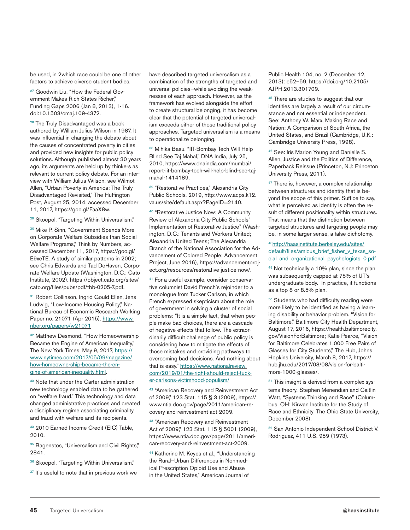be used, in 2which race could be one of other factors to achieve diverse student bodies.

<sup>27</sup> Goodwin Liu, "How the Federal Government Makes Rich States Richer," Funding Gaps 2006 (Jan 8, 2013), 1-16. doi:10.1503/cmaj.109-4372.

<sup>28</sup> The Truly Disadvantaged was a book authored by William Julius Wilson in 1987. It was influential in changing the debate about the causes of concentrated poverty in cities and provided new insights for public policy solutions. Although published almost 30 years ago, its arguments are held up by thinkers as relevant to current policy debate. For an interview with William Julius Wilson, see Wilmot Allen, "Urban Poverty in America: The Truly Disadvantaged Revisited," The Huffington Post, August 25, 2014, accessed December 11, 2017, https://goo.gl/FaaX8w.

<sup>29</sup> Skocpol, "Targeting Within Universalism."

<sup>30</sup> Mike P. Sinn, "Government Spends More on Corporate Welfare Subsidies than Social Welfare Programs," Think by Numbers, accessed December 11, 2017, https://goo.gl/ E9xeTE. A study of similar patterns in 2002; see Chris Edwards and Tad DeHaven, Corporate Welfare Update (Washington, D.C.: Cato Institute, 2002). https://object.cato.org/sites/ cato.org/files/pubs/pdf/tbb-0205-7.pdf.

31 Robert Collinson, Ingrid Gould Ellen, Jens Ludwig, "Low-Income Housing Policy," National Bureau of Economic Research Working Paper no. 21071 (Apr 2015). https://www. nber.org/papers/w21071

<sup>32</sup> Matthew Desmond, "How Homeownership Became the Engine of American Inequality," The New York Times, May 9, 2017, https:// www.nytimes.com/2017/05/09/magazine/ how-homeownership-became-the-engine-of-american-inequality.html.

33 Note that under the Carter administration new technology enabled data to be gathered on "welfare fraud." This technology and data changed administrative practices and created a disciplinary regime associating criminality and fraud with welfare and its recipients.

33 2010 Earned Income Credit (EIC) Table, 2010.

<sup>35</sup> Bagenstos, "Universalism and Civil Rights," 2841.

36 Skocpol, "Targeting Within Universalism."

<sup>37</sup> It's useful to note that in previous work we

have described targeted universalism as a combination of the strengths of targeted and universal policies—while avoiding the weaknesses of each approach. However, as the framework has evolved alongside the effort to create structural belonging, it has become clear that the potential of targeted universalism exceeds either of those traditional policy approaches. Targeted universalism is a means to operationalize belonging.

38 Mihika Basu, "IIT-Bombay Tech Will Help Blind See Taj Mahal," DNA India, July 25, 2010, https://www.dnaindia.com/mumbai/ report-iit-bombay-tech-will-help-blind-see-tajmahal-1414189.

39 "Restorative Practices," Alexandria City Public Schools, 2019, http://www.acps.k12. va.us/site/default.aspx?PageID=2140.

40 "Restorative Justice Now: A Community Review of Alexandria City Public Schools' Implementation of Restorative Justice" (Washington, D.C.: Tenants and Workers United; Alexandria United Teens; The Alexandria Branch of the National Association for the Advancement of Colored People; Advancement Project, June 2016), https://advancementproject.org/resources/restorative-justice-now/.

<sup>41</sup> For a useful example, consider conservative columnist David French's rejoinder to a monologue from Tucker Carlson, in which French expressed skepticism about the role of government in solving a cluster of social problems: "It is a simple fact, that when people make bad choices, there are a cascade of negative effects that follow. The extraordinarily difficult challenge of public policy is considering how to mitigate the effects of those mistakes and providing pathways to overcoming bad decisions. And nothing about that is easy." https://www.nationalreview. com/2019/01/the-right-should-reject-tucker-carlsons-victimhood-populism/

42 "American Recovery and Reinvestment Act of 2009," 123 Stat. 115 § 3 (2009), https:// www.ntia.doc.gov/page/2011/american-recovery-and-reinvestment-act-2009.

<sup>43</sup> "American Recovery and Reinvestment Act of 2009," 123 Stat. 115 § 5001 (2009), https://www.ntia.doc.gov/page/2011/american-recovery-and-reinvestment-act-2009.

44 Katherine M. Keyes et al., "Understanding the Rural–Urban Differences in Nonmedical Prescription Opioid Use and Abuse in the United States," American Journal of

Public Health 104, no. 2 (December 12, 2013): e52–59, https://doi.org/10.2105/ AJPH.2013.301709.

<sup>45</sup> There are studies to suggest that our identities are largely a result of our circumstance and not essential or independent. See: Anthony W. Marx, Making Race and Nation: A Comparison of South Africa, the United States, and Brazil (Cambridge, U.K.: Cambridge University Press, 1998).

46 See: Iris Marion Young and Danielle S. Allen, Justice and the Politics of Difference, Paperback Reissue (Princeton, N.J: Princeton University Press, 2011).

47 There is, however, a complex relationship between structures and identity that is beyond the scope of this primer. Suffice to say, what is perceived as identity is often the result of different positionality within structures. That means that the distinction between targeted structures and targeting people may be, in some larger sense, a false dichotomy.

48http://haasinstitute.berkeley.edu/sites/ default/files/amicus\_brief\_fisher\_v\_texas\_social and organizational psychologists 0.pdf

49 Not technically a 10% plan, since the plan was subsequently capped at 75% of UT's undergraduate body. In practice, it functions as a top 8 or 8.5% plan.

50 Students who had difficulty reading were more likely to be identified as having a learning disability or behavior problem. "Vision for Baltimore," Baltimore City Health Department, August 17, 2016, https://health.baltimorecity. gov/VisionForBaltimore; Katie Pearce, "Vision for Baltimore Celebrates 1,000 Free Pairs of Glasses for City Students," The Hub, Johns Hopkins University, March 8, 2017, https:// hub.jhu.edu/2017/03/08/vision-for-baltimore-1000-glasses/.

<sup>51</sup> This insight is derived from a complex systems theory. Stephen Menendian and Caitlin Watt, "Systems Thinking and Race" (Columbus, OH: Kirwan Institute for the Study of Race and Ethnicity, The Ohio State University, December 2008).

52 San Antonio Independent School District V. Rodriguez, 411 U.S. 959 (1973).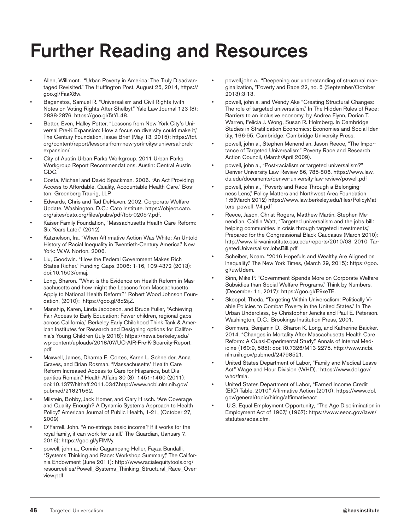## Further Reading and Resources

- Allen, Willmont. "Urban Poverty in America: The Truly Disadvantaged Revisited." The Huffington Post, August 25, 2014, https:// goo.gl/FaaX8w.
- Bagenstos, Samuel R. "Universalism and Civil Rights (with Notes on Voting Rights After Shelby)." Yale Law Journal 123 (8): 2838-2876. https://goo.gl/5tYL48.
- Better, Even, Halley Potter, "Lessons from New York City's Universal Pre-K Expansion: How a focus on diversity could make it," The Century Foundation, Issue Brief (May 13, 2015): https://tcf. org/content/report/lessons-from-new-york-citys-universal-prekexpansion/
- City of Austin Urban Parks Workgroup. 2011 Urban Parks Workgroup Report Recommendations. Austin: Central Austin CDC.
- Costa, Michael and David Spackman. 2006. "An Act Providing Access to Affordable, Quality, Accountable Health Care." Boston: Greenberg Traurig, LLP.
- Edwards, Chris and Tad DeHaven. 2002. Corporate Welfare Update. Washington, D.C.: Cato Institute. https://object.cato. org/sites/cato.org/files/pubs/pdf/tbb-0205-7.pdf.
- Kaiser Family Foundation, "Massachusetts Health Care Reform: Six Years Later." (2012)
- Katznelson, Ira. "When Affirmative Action Was White: An Untold History of Racial Inequality in Twentieth-Century America." New York: W.W. Norton, 2006.
- Liu, Goodwin. "How the Federal Government Makes Rich States Richer." Funding Gaps 2006: 1-16, 109-4372 (2013): doi:10.1503/cmaj.
- Long, Sharon. "What is the Evidence on Health Reform in Massachusetts and how might the Lessons from Massachusetts Apply to National Health Reform?" Robert Wood Johnson Foundation, (2010): https://goo.gl/8d2ijZ.
- Manship, Karen, Linda Jacobson, and Bruce Fuller, "Achieving Fair Access to Early Education: Fewer children, regional gaps across California," Berkeley Early Childhood Think Tank & American Institutes for Research and Designing options for California's Young Children (July 2018): https://news.berkeley.edu/ wp-content/uploads/2018/07/UC-AIR-Pre-K-Scarcity-Report. pdf
- Maxwell, James, Dharma E. Cortes, Karen L. Schneider, Anna Graves, and Brian Rosman. "Massachusetts' Health Care Reform Increased Access to Care for Hispanics, but Disparities Remain." Health Affairs 30 (8): 1451-1460 (2011): doi:10.1377/hlthaff.2011.0347.http://www.ncbi.nlm.nih.gov/ pubmed/21821562.
- Milstein, Bobby, Jack Homer, and Gary Hirsch. "Are Coverage and Quality Enough? A Dynamic Systems Approach to Health Policy." American Journal of Public Health, 1-21, (October 27, 2009)
- O'Farrell, John. "A no-strings basic income? If it works for the royal family, it can work for us all." The Guardian, (January 7, 2016): https://goo.gl/yFfMVy.
- powell, john a., Connie Cagampang Heller, Fayza Bundalli, "Systems Thinking and Race: Workshop Summary," The California Endowment (June 2011): http://www.racialequitytools.org/ resourcefiles/Powell\_Systems\_Thinking\_Structural\_Race\_Overview.pdf
- powell,john a., "Deepening our understanding of structural marginalization, "Poverty and Race 22, no. 5 (September/October 2013):3-13.
- powell, john a. and Wendy Ake "Creating Structural Changes: The role of targeted universalism." In The Hidden Rules of Race: Barriers to an inclusive economy, by Andrea Flynn, Dorian T. Warren, Felicia J. Wong, Susan R. Holmberg. In Cambridge Studies in Stratification Economics: Economies and Social Identity, 166-95. Cambridge: Cambridge University Press.
- powell, john a., Stephen Menendian, Jason Reece, "The Importance of Targeted Universalism" Poverty Race and Research Action Council, (March/April 2009).
- powell, john a., "Post-racialism or targeted universalism?" Denver University Law Review 86, 785-806. https://www.law. du.edu/documents/denver-university-law-review/powell.pdf
- powell, john a., "Poverty and Race Through a Belongingness Lens," Policy Matters and Northwest Area Foundation, 1:5(March 2012) https://www.law.berkeley.edu/files/PolicyMatters\_powell\_V4.pdf
- Reece, Jason, Christ Rogers, Matthew Martin, Stephen Menendian, Caitlin Watt, "Targeted universalism and the jobs bill: helping communities in crisis through targeted investments," Prepared for the Congressional Black Caucasus (March 2010): http://www.kirwaninstitute.osu.edu/reports/2010/03\_2010\_TargetedUniversalismJobsBill.pdf
- Scheiber, Noam. "2016 Hopefuls and Wealthy Are Aligned on Inequality." The New York Times, (March 29, 2015): https://goo. gl/uwUdem.
- Sinn, Mike P. "Government Spends More on Corporate Welfare Subsidies than Social Welfare Programs." Think by Numbers, (December 11, 2017): https://goo.gl/E9xeTE.
- Skocpol, Theda. "Targeting Within Universalism: Politically Viable Policies to Combat Poverty in the United States." In The Urban Underclass, by Christopher Jencks and Paul E. Peterson. Washington, D.C.: Brookings Institution Press, 2001.
- Sommers, Benjamin D., Sharon K. Long, and Katherine Baicker. 2014. "Changes in Mortality After Massachusetts Health Care Reform: A Quasi-Experimental Study." Annals of Internal Medicine (160:9, 585): doi:10.7326/M13-2275. http://www.ncbi. nlm.nih.gov/pubmed/24798521.
- United States Department of Labor, "Family and Medical Leave Act." Wage and Hour Division (WHD).: https://www.dol.gov/ whd/fmla.
- United States Department of Labor, "Earned Income Credit (EIC) Table, 2010," Affirmative Action (2010): https://www.dol. gov/general/topic/hiring/affirmativeact
- U.S. Equal Employment Opportunity, "The Age Discrimination in Employment Act of 1967," (1967): https://www.eeoc.gov/laws/ statutes/adea.cfm.